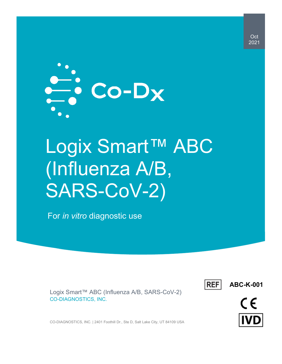

# Logix Smart™ ABC (Influenza A/B, SARS-CoV-2)

For *in vitro* diagnostic use

Logix Smart™ ABC (Influenza A/B, SARS-CoV-2) CO-DIAGNOSTICS, INC.



**ABC-K-001**



CO-DIAGNOSTICS, INC. | 2401 Foothill Dr., Ste D, Salt Lake City, UT 84109 USA

Oct 2021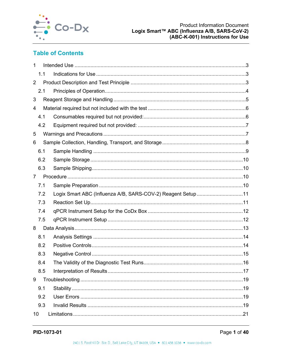

## **Table of Contents**

| 1              |                                                             |  |
|----------------|-------------------------------------------------------------|--|
| 1.1            |                                                             |  |
| $\overline{2}$ |                                                             |  |
| 2.1            |                                                             |  |
| 3              |                                                             |  |
| 4              |                                                             |  |
| 4.1            |                                                             |  |
| 4.2            |                                                             |  |
| 5              |                                                             |  |
| 6              |                                                             |  |
| 6.1            |                                                             |  |
| 6.2            |                                                             |  |
| 6.3            |                                                             |  |
| $\overline{7}$ |                                                             |  |
| 7.1            |                                                             |  |
| 7.2            | Logix Smart ABC (Influenza A/B, SARS-COV-2) Reagent Setup11 |  |
| 7.3            |                                                             |  |
| 7.4            |                                                             |  |
| 7.5            |                                                             |  |
| 8              |                                                             |  |
| 8.1            |                                                             |  |
| 8.2            |                                                             |  |
| 8.3            |                                                             |  |
| 8.4            |                                                             |  |
| 8.5            |                                                             |  |
| 9              |                                                             |  |
| 9.1            |                                                             |  |
| 9.2            |                                                             |  |
| 9.3            |                                                             |  |
| 10             |                                                             |  |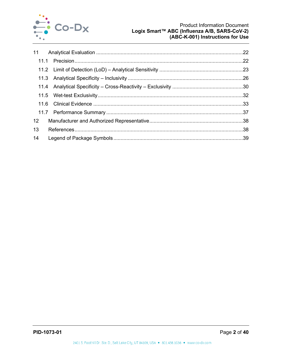

| $12 \overline{ }$ |  |
|-------------------|--|
| 13                |  |
| 14                |  |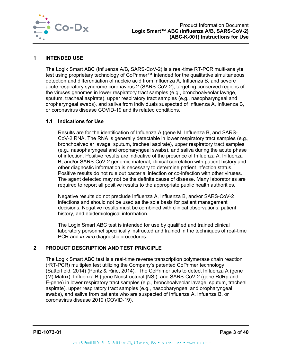

#### <span id="page-3-0"></span>**1 INTENDED USE**

The Logix Smart ABC (Influenza A/B, SARS-CoV-2) is a real-time RT-PCR multi-analyte test using proprietary technology of CoPrimer™ intended for the qualitative simultaneous detection and differentiation of nucleic acid from Influenza A, Influenza B, and severe acute respiratory syndrome coronavirus 2 (SARS-CoV-2), targeting conserved regions of the viruses genomes in lower respiratory tract samples (e.g., bronchoalveolar lavage, sputum, tracheal aspirate), upper respiratory tract samples (e.g., nasopharyngeal and oropharyngeal swabs), and saliva from individuals suspected of Influenza A, Influenza B, or coronavirus disease COVID-19 and its related conditions.

## <span id="page-3-1"></span>**1.1 Indications for Use**

Results are for the identification of Influenza A (gene M, Influenza B, and SARS-CoV-2 RNA. The RNA is generally detectable in lower respiratory tract samples (e.g., bronchoalveolar lavage, sputum, tracheal aspirate), upper respiratory tract samples (e.g., nasopharyngeal and oropharyngeal swabs), and saliva during the acute phase of infection. Positive results are indicative of the presence of Influenza A, Influenza B, and/or SARS-CoV-2 genomic material; clinical correlation with patient history and other diagnostic information is necessary to determine patient infection status. Positive results do not rule out bacterial infection or co-infection with other viruses. The agent detected may not be the definite cause of disease. Many laboratories are required to report all positive results to the appropriate public health authorities.

Negative results do not preclude Influenza A, Influenza B, and/or SARS-CoV-2 infections and should not be used as the sole basis for patient management decisions. Negative results must be combined with clinical observations, patient history, and epidemiological information.

The Logix Smart ABC test is intended for use by qualified and trained clinical laboratory personnel specifically instructed and trained in the techniques of real-time PCR and *in vitro* diagnostic procedures.

## <span id="page-3-2"></span>**2 PRODUCT DESCRIPTION AND TEST PRINCIPLE**

The Logix Smart ABC test is a real-time reverse transcription polymerase chain reaction (rRT-PCR) multiplex test utilizing the Company's patented CoPrimer technology (Satterfield, 2014) (Poritz & Ririe, 2014). The CoPrimer sets to detect Influenza A (gene (M) Matrix), Influenza B (gene Nonstructural [NS]), and SARS-CoV-2 (gene RdRp and E-gene) in lower respiratory tract samples (e.g., bronchoalveolar lavage, sputum, tracheal aspirate), upper respiratory tract samples (e.g., nasopharyngeal and oropharyngeal swabs), and saliva from patients who are suspected of Influenza A, Infuenza B, or coronavirus disease 2019 (COVID-19).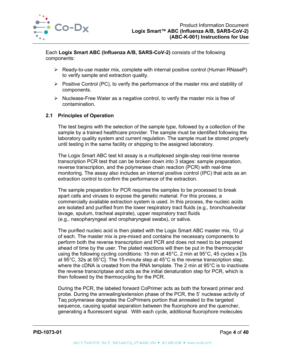

Each **Logix Smart ABC (Influenza A/B, SARS-CoV-2)** consists of the following components:

- $\triangleright$  Ready-to-use master mix, complete with internal positive control (Human RNaseP) to verify sample and extraction quality.
- $\triangleright$  Positive Control (PC), to verify the performance of the master mix and stability of components.
- $\triangleright$  Nuclease-Free Water as a negative control, to verify the master mix is free of contamination.

## <span id="page-4-0"></span>**2.1 Principles of Operation**

The test begins with the selection of the sample type, followed by a collection of the sample by a trained healthcare provider. The sample must be identified following the laboratory quality system and current regulation. The sample must be stored properly until testing in the same facility or shipping to the assigned laboratory.

The Logix Smart ABC test kit assay is a multiplexed single-step real-time reverse transcription PCR test that can be broken down into 3 stages: sample preparation, reverse transcription, and the polymerase chain reaction (PCR) with real-time monitoring. The assay also includes an internal positive control (IPC) that acts as an extraction control to confirm the performance of the extraction.

The sample preparation for PCR requires the samples to be processed to break apart cells and viruses to expose the genetic material. For this process, a commercially available extraction system is used. In this process, the nucleic acids are isolated and purified from the lower respiratory tract fluids (e.g., bronchoalveolar lavage, sputum, tracheal aspirate), upper respiratory tract fluids (e.g., nasopharyngeal and oropharyngeal swabs), or saliva.

The purified nucleic acid is then plated with the Logix Smart ABC master mix, 10 µl of each. The master mix is pre-mixed and contains the necessary components to perform both the reverse transcription and PCR and does not need to be prepared ahead of time by the user. The plated reactions will then be put in the thermocycler using the following cycling conditions: 15 min at 45°C, 2 min at 95°C, 45 cycles x [3s at 95°C, 32s at 55°C]. The 15-minute step at 45°C is the reverse transcription step, where the cDNA is created from the RNA template. The 2 min at 95°C is to inactivate the reverse transcriptase and acts as the initial denaturation step for PCR, which is then followed by the thermocycling for the PCR.

During the PCR, the labeled forward CoPrimer acts as both the forward primer and probe. During the annealing/extension phase of the PCR, the 5' nuclease activity of Taq polymerase degrades the CoPrimers portion that annealed to the targeted sequence, causing spatial separation between the fluorophore and the quencher, generating a fluorescent signal. With each cycle, additional fluorophore molecules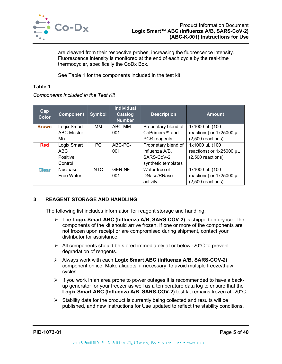

are cleaved from their respective probes, increasing the fluorescence intensity. Fluorescence intensity is monitored at the end of each cycle by the real-time thermocycler, specifically the CoDx Box.

See [Table 1](#page-5-1) for the components included in the test kit.

#### <span id="page-5-1"></span>**Table 1**

*Components Included in the Test Kit*

| Cap<br>Color | <b>Component</b>  | <b>Symbol</b> | <b>Individual</b><br><b>Catalog</b><br><b>Number</b> | <b>Description</b>         | <b>Amount</b>            |
|--------------|-------------------|---------------|------------------------------------------------------|----------------------------|--------------------------|
| <b>Brown</b> | Logix Smart       | MМ            | ABC-MM-                                              | Proprietary blend of       | 1x1000 µL (100           |
|              | <b>ABC Master</b> |               | 001                                                  | CoPrimers <sup>™</sup> and | reactions) or 1x25000 µL |
|              | Mix               |               |                                                      | PCR reagents               | $(2,500$ reactions)      |
| <b>Red</b>   | Logix Smart       | PC            | ABC-PC-                                              | Proprietary blend of       | 1x1000 µL (100           |
|              | <b>ABC</b>        |               | 001                                                  | Influenza A/B,             | reactions) or 1x25000 µL |
|              | Positive          |               |                                                      | SARS-CoV-2                 | $(2,500$ reactions)      |
|              | Control           |               |                                                      | synthetic templates        |                          |
| <b>Clear</b> | <b>Nuclease</b>   | <b>NTC</b>    | GEN-NF-                                              | Water free of              | 1x1000 µL (100           |
|              | Free Water        |               | 001                                                  | DNase/RNase                | reactions) or 1x25000 µL |
|              |                   |               |                                                      | activity                   | $(2,500$ reactions)      |

## <span id="page-5-0"></span>**3 REAGENT STORAGE AND HANDLING**

The following list includes information for reagent storage and handling:

- The **Logix Smart ABC (Influenza A/B, SARS-COV-2)** is shipped on dry ice. The components of the kit should arrive frozen. If one or more of the components are not frozen upon receipt or are compromised during shipment, contact your distributor for assistance.
- $\triangleright$  All components should be stored immediately at or below -20 $\degree$ C to prevent degradation of reagents.
- Always work with each **Logix Smart ABC (Influenza A/B, SARS-COV-2)** component on ice. Make aliquots, if necessary, to avoid multiple freeze/thaw cycles.
- $\triangleright$  If you work in an area prone to power outages it is recommended to have a backup generator for your freezer as well as a temperature data log to ensure that the **Logix Smart ABC (Influenza A/B, SARS-COV-2)** test kit remains frozen at -20°C.
- $\triangleright$  Stability data for the product is currently being collected and results will be published, and new Instructions for Use updated to reflect the stability conditions.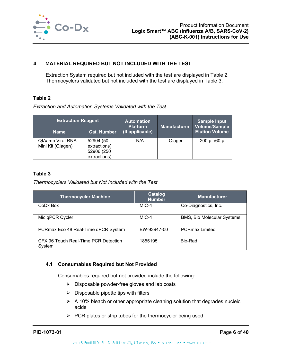

## <span id="page-6-0"></span>**4 MATERIAL REQUIRED BUT NOT INCLUDED WITH THE TEST**

Extraction System required but not included with the test are displayed in [Table 2.](#page-6-2) Thermocyclers validated but not included with the test are displayed in [Table 3.](#page-6-3)

#### <span id="page-6-2"></span>**Table 2**

*Extraction and Automation Systems Validated with the Test*

| <b>Extraction Reagent</b>             |                                                         | <b>Automation</b>                  |                     | <b>Sample Input</b>                           |  |
|---------------------------------------|---------------------------------------------------------|------------------------------------|---------------------|-----------------------------------------------|--|
| <b>Name</b>                           | <b>Cat. Number</b>                                      | <b>Platform</b><br>(If applicable) | <b>Manufacturer</b> | <b>Volume/Sample</b><br><b>Elution Volume</b> |  |
| QIAamp Viral RNA<br>Mini Kit (Qiagen) | 52904 (50<br>extractions)<br>52906 (250<br>extractions) | N/A                                | Qiagen              | 200 µL/60 µL                                  |  |

#### <span id="page-6-3"></span>**Table 3**

*Thermocyclers Validated but Not Included with the Test*

| <b>Thermocycler Machine</b>                    | Catalog<br><b>Number</b> | <b>Manufacturer</b>               |
|------------------------------------------------|--------------------------|-----------------------------------|
| CoDx Box                                       | MIC-4                    | Co-Diagnostics, Inc.              |
| Mic qPCR Cycler                                | MIC-4                    | <b>BMS, Bio Molecular Systems</b> |
| PCRmax Eco 48 Real-Time qPCR System            | EW-93947-00              | <b>PCRmax Limited</b>             |
| CFX 96 Touch Real-Time PCR Detection<br>System | 1855195                  | Bio-Rad                           |

#### <span id="page-6-1"></span>**4.1 Consumables Required but Not Provided**

Consumables required but not provided include the following:

- $\triangleright$  Disposable powder-free gloves and lab coats
- $\triangleright$  Disposable pipette tips with filters
- $\triangleright$  A 10% bleach or other appropriate cleaning solution that degrades nucleic acids
- $\triangleright$  PCR plates or strip tubes for the thermocycler being used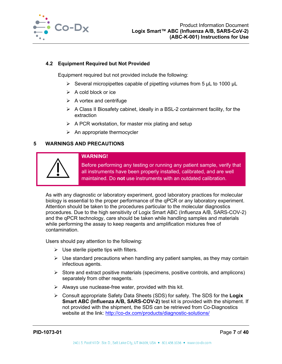

## <span id="page-7-0"></span>**4.2 Equipment Required but Not Provided**

Equipment required but not provided include the following:

- $\triangleright$  Several micropipettes capable of pipetting volumes from 5 µL to 1000 µL
- $\triangleright$  A cold block or ice
- $\triangleright$  A vortex and centrifuge
- $\triangleright$  A Class II Biosafety cabinet, ideally in a BSL-2 containment facility, for the extraction
- $\triangleright$  A PCR workstation, for master mix plating and setup
- $\triangleright$  An appropriate thermocycler

## <span id="page-7-1"></span>**5 WARNINGS AND PRECAUTIONS**



#### **WARNING!**

Before performing any testing or running any patient sample, verify that all instruments have been properly installed, calibrated, and are well maintained. Do **not** use instruments with an outdated calibration.

As with any diagnostic or laboratory experiment, good laboratory practices for molecular biology is essential to the proper performance of the qPCR or any laboratory experiment. Attention should be taken to the procedures particular to the molecular diagnostics procedures. Due to the high sensitivity of Logix Smart ABC (Influenza A/B, SARS-COV-2) and the qPCR technology, care should be taken while handling samples and materials while performing the assay to keep reagents and amplification mixtures free of contamination.

Users should pay attention to the following:

- $\triangleright$  Use sterile pipette tips with filters.
- $\triangleright$  Use standard precautions when handling any patient samples, as they may contain infectious agents.
- $\triangleright$  Store and extract positive materials (specimens, positive controls, and amplicons) separately from other reagents.
- $\triangleright$  Always use nuclease-free water, provided with this kit.
- Consult appropriate Safety Data Sheets (SDS) for safety. The SDS for the **Logix Smart ABC (Influenza A/B, SARS-COV-2)** test kit is provided with the shipment. If not provided with the shipment, the SDS can be retrieved from Co-Diagnostics website at the link:<http://co-dx.com/products/diagnostic-solutions/>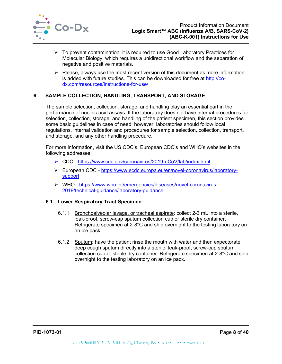

- $\triangleright$  To prevent contamination, it is required to use Good Laboratory Practices for Molecular Biology, which requires a unidirectional workflow and the separation of negative and positive materials.
- $\triangleright$  Please, always use the most recent version of this document as more information is added with future studies. This can be downloaded for free at [http://co](http://co-dx.com/resources/instructions-for-use/)[dx.com/resources/instructions-for-use/](http://co-dx.com/resources/instructions-for-use/)

## <span id="page-8-0"></span>**6 SAMPLE COLLECTION, HANDLING, TRANSPORT, AND STORAGE**

The sample selection, collection, storage, and handling play an essential part in the performance of nucleic acid assays. If the laboratory does not have internal procedures for selection, collection, storage, and handling of the patient specimen, this section provides some basic guidelines in case of need; however, laboratories should follow local regulations, internal validation and procedures for sample selection, collection, transport, and storage, and any other handling procedure.

For more information, visit the US CDC's, European CDC's and WHO's websites in the following addresses:

- CDC <https://www.cdc.gov/coronavirus/2019-nCoV/lab/index.html>
- European CDC [https://www.ecdc.europa.eu/en/novel-coronavirus/laboratory](https://www.ecdc.europa.eu/en/novel-coronavirus/laboratory-support)**[support](https://www.ecdc.europa.eu/en/novel-coronavirus/laboratory-support)**
- WHO [https://www.who.int/emergencies/diseases/novel-coronavirus-](https://www.who.int/emergencies/diseases/novel-coronavirus-2019/technical-guidance/laboratory-guidance)[2019/technical-guidance/laboratory-guidance](https://www.who.int/emergencies/diseases/novel-coronavirus-2019/technical-guidance/laboratory-guidance)

#### **6.1 Lower Respiratory Tract Specimen**

- 6.1.1 Bronchoalveolar lavage, or tracheal aspirate: collect 2-3 mL into a sterile, leak-proof, screw-cap sputum collection cup or sterile dry container. Refrigerate specimen at 2-8°C and ship overnight to the testing laboratory on an ice pack.
- 6.1.2 Sputum: have the patient rinse the mouth with water and then expectorate deep cough sputum directly into a sterile, leak-proof, screw-cap sputum collection cup or sterile dry container. Refrigerate specimen at 2-8°C and ship overnight to the testing laboratory on an ice pack.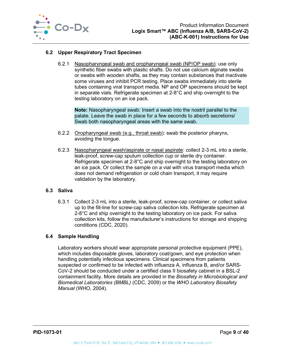

## **6.2 Upper Respiratory Tract Specimen**

6.2.1 Nasopharyngeal swab and oropharyngeal swab (NP/OP swab): use only synthetic fiber swabs with plastic shafts. Do not use calcium alginate swabs or swabs with wooden shafts, as they may contain substances that inactivate some viruses and inhibit PCR testing. Place swabs immediately into sterile tubes containing viral transport media. NP and OP specimens should be kept in separate vials. Refrigerate specimen at 2-8°C and ship overnight to the testing laboratory on an ice pack.

**Note:** Nasopharyngeal swab: Insert a swab into the nostril parallel to the palate. Leave the swab in place for a few seconds to absorb secretions/ Swab both nasopharyngeal areas with the same swab.

- 6.2.2 Oropharyngeal swab (e.g., throat swab): swab the posterior pharynx, avoiding the tongue.
- 6.2.3 Nasopharyngeal wash/aspirate or nasal aspirate: collect 2-3 mL into a sterile, leak-proof, screw-cap sputum collection cup or sterile dry container. Refrigerate specimen at 2-8°C and ship overnight to the testing laboratory on an ice pack. Or collect the sample on a vial with virus transport media which does not demand refrigeration or cold chain transport, it may require validation by the laboratory.

#### **6.3 Saliva**

6.3.1 Collect 2-3 mL into a sterile, leak-proof, screw-cap container, or collect saliva up to the fill-line for screw-cap saliva collection kits. Refrigerate specimen at 2-8°C and ship overnight to the testing laboratory on ice pack. For saliva collection kits, follow the manufacturer's instructions for storage and shipping conditions (CDC, 2020).

#### <span id="page-9-0"></span>**6.4 Sample Handling**

Laboratory workers should wear appropriate personal protective equipment (PPE), which includes disposable gloves, laboratory coat/gown, and eye protection when handling potentially infectious specimens. Clinical specimens from patients suspected or confirmed to be infected with influenza A, influenza B, and/or SARS-CoV-2 should be conducted under a certified class II biosafety cabinet in a BSL-2 containment facility. More details are provided in the *Biosafety in Microbiological and Biomedical Laboratories (BMBL)* (CDC, 2009) or the *WHO Laboratory Biosafety Manual* (WHO, 2004).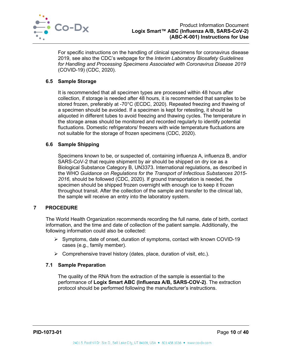

For specific instructions on the handling of clinical specimens for coronavirus disease 2019, see also the CDC's webpage for the *Interim Laboratory Biosafety Guidelines for Handling and Processing Specimens Associated with Coronavirus Disease 2019* (COVID-19) (CDC, 2020).

## <span id="page-10-0"></span>**6.5 Sample Storage**

It is recommended that all specimen types are processed within 48 hours after collection, if storage is needed after 48 hours, it is recommended that samples to be stored frozen, preferably at -70°C (ECDC, 2020). Repeated freezing and thawing of a specimen should be avoided. If a specimen is kept for retesting, it should be aliquoted in different tubes to avoid freezing and thawing cycles. The temperature in the storage areas should be monitored and recorded regularly to identify potential fluctuations. Domestic refrigerators/ freezers with wide temperature fluctuations are not suitable for the storage of frozen specimens (CDC, 2020).

#### <span id="page-10-1"></span>**6.6 Sample Shipping**

Specimens known to be, or suspected of, containing influenza A, influenza B, and/or SARS-CoV-2 that require shipment by air should be shipped on dry ice as a Biological Substance Category B, UN3373. International regulations, as described in the WHO *Guidance on Regulations for the Transport of Infectious Substances 2015- 2016,* should be followed (CDC, 2020). If ground transportation is needed, the specimen should be shipped frozen overnight with enough ice to keep it frozen throughout transit. After the collection of the sample and transfer to the clinical lab, the sample will receive an entry into the laboratory system.

## <span id="page-10-2"></span>**7 PROCEDURE**

The World Health Organization recommends recording the full name, date of birth, contact information, and the time and date of collection of the patient sample. Additionally, the following information could also be collected:

- $\triangleright$  Symptoms, date of onset, duration of symptoms, contact with known COVID-19 cases (e.g., family member).
- $\triangleright$  Comprehensive travel history (dates, place, duration of visit, etc.).

#### <span id="page-10-3"></span>**7.1 Sample Preparation**

The quality of the RNA from the extraction of the sample is essential to the performance of **Logix Smart ABC (Influenza A/B, SARS-COV-2)**. The extraction protocol should be performed following the manufacturer's instructions.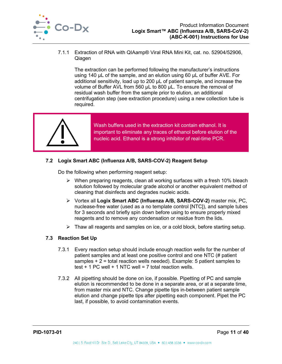

7.1.1 Extraction of RNA with QIAamp® Viral RNA Mini Kit, cat. no. 52904/52906, Qiagen

The extraction can be performed following the manufacturer's instructions using 140 µL of the sample, and an elution using 60 µL of buffer AVE. For additional sensitivity, load up to 200 µL of patient sample, and increase the volume of Buffer AVL from 560 µL to 800 µL. To ensure the removal of residual wash buffer from the sample prior to elution, an additional centrifugation step (see extraction procedure) using a new collection tube is required.



Wash buffers used in the extraction kit contain ethanol. It is important to eliminate any traces of ethanol before elution of the nucleic acid. Ethanol is a strong inhibitor of real-time PCR.

## <span id="page-11-0"></span>**7.2 Logix Smart ABC (Influenza A/B, SARS-COV-2) Reagent Setup**

Do the following when performing reagent setup:

- $\triangleright$  When preparing reagents, clean all working surfaces with a fresh 10% bleach solution followed by molecular grade alcohol or another equivalent method of cleaning that disinfects and degrades nucleic acids.
- Vortex all **Logix Smart ABC (Influenza A/B, SARS-COV-2)** master mix, PC, nuclease-free water (used as a no template control [NTC]), and sample tubes for 3 seconds and briefly spin down before using to ensure properly mixed reagents and to remove any condensation or residue from the lids.
- $\triangleright$  Thaw all reagents and samples on ice, or a cold block, before starting setup.

## <span id="page-11-1"></span>**7.3 Reaction Set Up**

- 7.3.1 Every reaction setup should include enough reaction wells for the number of patient samples and at least one positive control and one NTC (# patient samples + 2 = total reaction wells needed). Example: 5 patient samples to test  $+$  1 PC well  $+$  1 NTC well = 7 total reaction wells.
- 7.3.2 All pipetting should be done on ice, if possible. Pipetting of PC and sample elution is recommended to be done in a separate area, or at a separate time, from master mix and NTC. Change pipette tips in-between patient sample elution and change pipette tips after pipetting each component. Pipet the PC last, if possible, to avoid contamination events.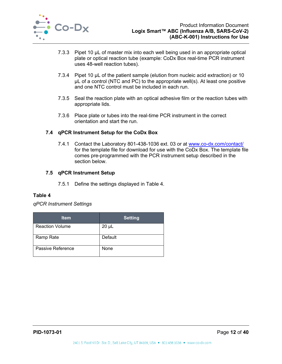

- 7.3.3 Pipet 10 µL of master mix into each well being used in an appropriate optical plate or optical reaction tube (example: CoDx Box real-time PCR instrument uses 48-well reaction tubes).
- 7.3.4 Pipet 10 µL of the patient sample (elution from nucleic acid extraction) or 10 µL of a control (NTC and PC) to the appropriate well(s). At least one positive and one NTC control must be included in each run.
- 7.3.5 Seal the reaction plate with an optical adhesive film or the reaction tubes with appropriate lids.
- 7.3.6 Place plate or tubes into the real-time PCR instrument in the correct orientation and start the run.

## <span id="page-12-0"></span>**7.4 qPCR Instrument Setup for the CoDx Box**

7.4.1 Contact the Laboratory 801-438-1036 ext. 03 or at [www.co-dx.com/contact/](http://www.co-dx.com/contact/) for the template file for download for use with the CoDx Box. The template file comes pre-programmed with the PCR instrument setup described in the section below.

## <span id="page-12-1"></span>**7.5 qPCR Instrument Setup**

7.5.1 Define the settings displayed in [Table 4.](#page-12-2)

## <span id="page-12-2"></span>**Table 4**

## *qPCR Instrument Settings*

| <b>Item</b>            | <b>Setting</b> |
|------------------------|----------------|
| <b>Reaction Volume</b> | $20 \mu L$     |
| <b>Ramp Rate</b>       | Default        |
| Passive Reference      | None           |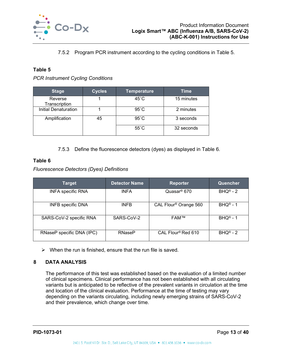

7.5.2 Program PCR instrument according to the cycling conditions in [Table 5.](#page-13-1)

#### <span id="page-13-1"></span>**Table 5**

*PCR Instrument Cycling Conditions*

| <b>Stage</b>             | <b>Cycles</b> | <b>Temperature</b> | Time       |
|--------------------------|---------------|--------------------|------------|
| Reverse<br>Transcription |               | $45^{\circ}$ C     | 15 minutes |
| Initial Denaturation     |               | $95^{\circ}$ C     | 2 minutes  |
| Amplification            | 45            | $95^{\circ}$ C     | 3 seconds  |
|                          |               | $55^{\circ}$ C     | 32 seconds |

7.5.3 Define the fluorescence detectors (dyes) as displayed in [Table 6.](#page-13-2)

## <span id="page-13-2"></span>**Table 6**

*Fluorescence Detectors (Dyes) Definitions*

| <b>Target</b>             | <b>Detector Name</b> | <b>Reporter</b>                   | Quencher              |
|---------------------------|----------------------|-----------------------------------|-----------------------|
| <b>INFA specific RNA</b>  | <b>INFA</b>          | Quasar <sup>®</sup> 670           | $BHQ^{\circledR} - 2$ |
| <b>INFB</b> specific DNA  | <b>INFB</b>          | CAL Flour <sup>®</sup> Orange 560 | $BHQ^{\circ} - 1$     |
| SARS-CoV-2 specific RNA   | SARS-CoV-2           | <b>FAM™</b>                       | $BHO^{\circledR} - 1$ |
| RNaseP specific DNA (IPC) | <b>RNaseP</b>        | CAL Flour <sup>®</sup> Red 610    | $BHQ^{\circledR} - 2$ |

 $\triangleright$  When the run is finished, ensure that the run file is saved.

## <span id="page-13-0"></span>**8 DATA ANALYSIS**

The performance of this test was established based on the evaluation of a limited number of clinical specimens. Clinical performance has not been established with all circulating variants but is anticipated to be reflective of the prevalent variants in circulation at the time and location of the clinical evaluation. Performance at the time of testing may vary depending on the variants circulating, including newly emerging strains of SARS-CoV-2 and their prevalence, which change over time.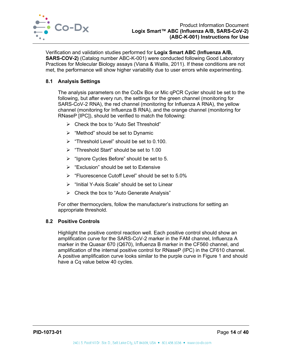

Verification and validation studies performed for **Logix Smart ABC (Influenza A/B, SARS-COV-2)** (Catalog number ABC-K-001) were conducted following Good Laboratory Practices for Molecular Biology assays (Viana & Wallis, 2011). If these conditions are not met, the performance will show higher variability due to user errors while experimenting.

## <span id="page-14-0"></span>**8.1 Analysis Settings**

The analysis parameters on the CoDx Box or Mic qPCR Cycler should be set to the following, but after every run, the settings for the green channel (monitoring for SARS-CoV-2 RNA), the red channel (monitoring for Influenza A RNA), the yellow channel (monitoring for Influenza B RNA), and the orange channel (monitoring for RNaseP [IPC]), should be verified to match the following:

- Check the box to "Auto Set Threshold"
- $\triangleright$  "Method" should be set to Dynamic
- $\triangleright$  "Threshold Level" should be set to 0.100.
- $\triangleright$  "Threshold Start" should be set to 1.00
- $\triangleright$  "Ignore Cycles Before" should be set to 5.
- $\triangleright$  "Exclusion" should be set to Extensive
- $\triangleright$  "Fluorescence Cutoff Level" should be set to 5.0%
- $\triangleright$  "Initial Y-Axis Scale" should be set to Linear
- $\triangleright$  Check the box to "Auto Generate Analysis"

For other thermocyclers, follow the manufacturer's instructions for setting an appropriate threshold.

#### <span id="page-14-1"></span>**8.2 Positive Controls**

Highlight the positive control reaction well. Each positive control should show an amplification curve for the SARS-CoV-2 marker in the FAM channel, Influenza A marker in the Quasar 670 (Q670), Influenza B marker in the CF560 channel, and amplification of the internal positive control for RNaseP (IPC) in the CF610 channel. A positive amplification curve looks similar to the purple curve in [Figure 1](#page-15-2) and should have a Cq value below 40 cycles.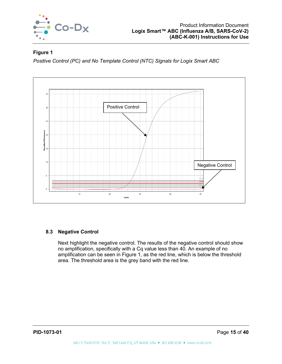

## <span id="page-15-2"></span>**Figure 1**

*Positive Control (PC) and No Template Control (NTC) Signals for Logix Smart ABC*



## <span id="page-15-0"></span>**8.3 Negative Control**

<span id="page-15-1"></span>Next highlight the negative control. The results of the negative control should show no amplification, specifically with a Cq value less than 40. An example of no amplification can be seen in [Figure 1,](#page-15-2) as the red line, which is below the threshold area. The threshold area is the grey band with the red line.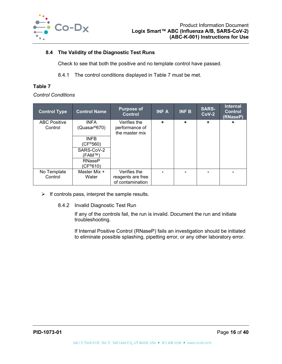

## **8.4 The Validity of the Diagnostic Test Runs**

Check to see that both the positive and no template control have passed.

8.4.1 The control conditions displayed in [Table 7](#page-16-1) must be met.

## <span id="page-16-1"></span>**Table 7**

#### *Control Conditions*

| <b>Control Type</b>            | <b>Control Name</b>                                                          | <b>Purpose of</b><br><b>Control</b>                   | <b>INFA</b> | <b>INF B</b> | <b>SARS-</b><br>$Cov-2$ | <b>Internal</b><br><b>Control</b><br>(RNaseP) |
|--------------------------------|------------------------------------------------------------------------------|-------------------------------------------------------|-------------|--------------|-------------------------|-----------------------------------------------|
| <b>ABC Positive</b><br>Control | <b>INFA</b><br>(Quasar®670)                                                  | Verifies the<br>performance of<br>the master mix      | ٠           | ÷            | ÷                       | ÷                                             |
|                                | <b>INFB</b><br>(CF®560)<br>SARS-CoV-2<br>(FAM™`<br><b>RNaseP</b><br>(CF®610) |                                                       |             |              |                         |                                               |
| No Template<br>Control         | Master Mix +<br>Water                                                        | Verifies the<br>reagents are free<br>of contamination |             |              |                         |                                               |

- $\triangleright$  If controls pass, interpret the sample results.
	- 8.4.2 Invalid Diagnostic Test Run

If any of the controls fail, the run is invalid. Document the run and initiate troubleshooting.

<span id="page-16-0"></span>If Internal Positive Control (RNaseP) fails an investigation should be initiated to eliminate possible splashing, pipetting error, or any other laboratory error.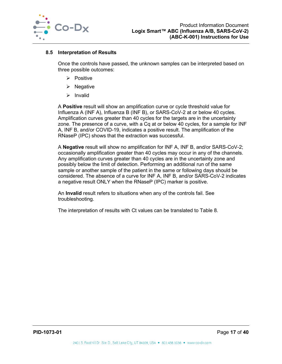

#### **8.5 Interpretation of Results**

Once the controls have passed, the unknown samples can be interpreted based on three possible outcomes:

- $\triangleright$  Positive
- $\triangleright$  Negative
- $\triangleright$  Invalid

A **Positive** result will show an amplification curve or cycle threshold value for Influenza A (INF A), Influenza B (INF B), or SARS-CoV-2 at or below 40 cycles. Amplification curves greater than 40 cycles for the targets are in the uncertainty zone. The presence of a curve, with a Cq at or below 40 cycles, for a sample for INF A, INF B, and/or COVID-19, indicates a positive result. The amplification of the RNaseP (IPC) shows that the extraction was successful.

A **Negative** result will show no amplification for INF A, INF B, and/or SARS-CoV-2; occasionally amplification greater than 40 cycles may occur in any of the channels. Any amplification curves greater than 40 cycles are in the uncertainty zone and possibly below the limit of detection. Performing an additional run of the same sample or another sample of the patient in the same or following days should be considered. The absence of a curve for INF A, INF B, and/or SARS-CoV-2 indicates a negative result ONLY when the RNaseP (IPC) marker is positive.

An **Invalid** result refers to situations when any of the controls fail. See troubleshooting.

The interpretation of results with Ct values can be translated to [Table 8.](#page-18-1)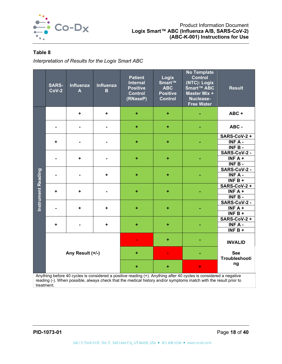

## <span id="page-18-1"></span>**Table 8**

*Interpretation of Results for the Logix Smart ABC*

|                           | <b>SARS-</b><br>$Cov-2$ | Influenza<br>A   | Influenza<br>B | <b>Patient</b><br><b>Internal</b><br><b>Positive</b><br><b>Control</b><br>(RNaseP) | Logix<br>Smart™<br><b>ABC</b><br><b>Positive</b><br><b>Control</b> | <b>No Template</b><br><b>Control</b><br>(NTC): Logix<br>Smart™ ABC<br>Master Mix +<br>Nuclease-<br><b>Free Water</b> | <b>Result</b>               |
|---------------------------|-------------------------|------------------|----------------|------------------------------------------------------------------------------------|--------------------------------------------------------------------|----------------------------------------------------------------------------------------------------------------------|-----------------------------|
|                           |                         | $\ddot{}$        | ÷              | ÷                                                                                  | $\ddot{}$                                                          |                                                                                                                      | ABC+                        |
|                           |                         |                  |                | $\pm$                                                                              | $\ddot{}$                                                          |                                                                                                                      | ABC -                       |
|                           |                         |                  |                |                                                                                    |                                                                    |                                                                                                                      | <b>SARS-CoV-2 +</b>         |
|                           | $\ddot{}$               |                  |                | ÷                                                                                  | $\pm$                                                              |                                                                                                                      | INF A -                     |
|                           |                         |                  |                |                                                                                    |                                                                    |                                                                                                                      | $INF B -$                   |
|                           |                         |                  |                |                                                                                    |                                                                    |                                                                                                                      | SARS-CoV-2 -                |
|                           |                         | ٠                |                | ÷                                                                                  | ÷                                                                  |                                                                                                                      | INF $A +$                   |
|                           |                         |                  |                |                                                                                    |                                                                    |                                                                                                                      | INF B-                      |
|                           |                         |                  |                |                                                                                    |                                                                    |                                                                                                                      | SARS-CoV-2 -                |
|                           |                         |                  | ٠              | ÷                                                                                  | $\ddot{}$                                                          |                                                                                                                      | $INT A -$                   |
| <b>Instrument Reading</b> |                         |                  |                |                                                                                    |                                                                    |                                                                                                                      | $INF \overline{B+}$         |
|                           |                         |                  |                |                                                                                    |                                                                    |                                                                                                                      | <b>SARS-CoV-2 +</b>         |
|                           | ÷                       | ÷                |                | ÷                                                                                  | ÷                                                                  |                                                                                                                      | INF $A +$                   |
|                           |                         |                  |                |                                                                                    |                                                                    |                                                                                                                      | $INFB -$                    |
|                           |                         |                  |                |                                                                                    |                                                                    |                                                                                                                      | SARS-CoV-2 -                |
|                           |                         | ÷                | ÷              | ÷                                                                                  | $\ddot{}$                                                          |                                                                                                                      | INF $A +$                   |
|                           |                         |                  |                |                                                                                    |                                                                    |                                                                                                                      | INF $B +$                   |
|                           |                         |                  |                |                                                                                    |                                                                    |                                                                                                                      | <b>SARS-CoV-2 +</b>         |
|                           | ÷                       |                  | ٠.             | ÷                                                                                  | $\ddot{}$                                                          |                                                                                                                      | <b>INFA-</b>                |
|                           |                         |                  |                |                                                                                    |                                                                    |                                                                                                                      | INF $B +$                   |
|                           |                         |                  |                |                                                                                    | $\ddot{}$                                                          |                                                                                                                      | <b>INVALID</b>              |
|                           |                         | Any Result (+/-) |                | ÷                                                                                  |                                                                    |                                                                                                                      | <b>See</b><br>Troubleshooti |
|                           |                         |                  |                |                                                                                    |                                                                    | ٠                                                                                                                    | ng                          |

<span id="page-18-0"></span>Anything before 40 cycles is considered a positive reading (+). Anything after 40 cycles is considered a negative reading (-). When possible, always check that the medical history and/or symptoms match with the result prior to treatment.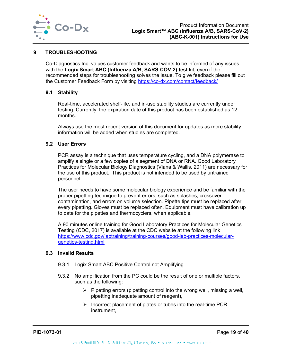

#### **9 TROUBLESHOOTING**

Co-Diagnostics Inc. values customer feedback and wants to be informed of any issues with the **Logix Smart ABC (Influenza A/B, SARS-COV-2) test** kit**,** even if the recommended steps for troubleshooting solves the issue. To give feedback please fill out the Customer Feedback Form by visiting<https://co-dx.com/contact/feedback/>

#### <span id="page-19-0"></span>**9.1 Stability**

Real-time, accelerated shelf-life, and in-use stability studies are currently under testing. Currently, the expiration date of this product has been established as 12 months.

Always use the most recent version of this document for updates as more stability information will be added when studies are completed.

## <span id="page-19-1"></span>**9.2 User Errors**

PCR assay is a technique that uses temperature cycling, and a DNA polymerase to amplify a single or a few copies of a segment of DNA or RNA. Good Laboratory Practices for Molecular Biology Diagnostics (Viana & Wallis, 2011) are necessary for the use of this product. This product is not intended to be used by untrained personnel.

The user needs to have some molecular biology experience and be familiar with the proper pipetting technique to prevent errors, such as splashes, crossover contamination, and errors on volume selection. Pipette tips must be replaced after every pipetting. Gloves must be replaced often. Equipment must have calibration up to date for the pipettes and thermocyclers, when applicable.

A 90 minutes online training for Good Laboratory Practices for Molecular Genetics Testing (CDC, 2017) is available at the CDC website at the following link [https://www.cdc.gov/labtraining/training-courses/good-lab-practices-molecular](https://www.cdc.gov/labtraining/training-courses/good-lab-practices-molecular-genetics-testing.html)[genetics-testing.html](https://www.cdc.gov/labtraining/training-courses/good-lab-practices-molecular-genetics-testing.html)

#### <span id="page-19-2"></span>**9.3 Invalid Results**

- 9.3.1 Logix Smart ABC Positive Control not Amplifying
- 9.3.2 No amplification from the PC could be the result of one or multiple factors, such as the following:
	- $\triangleright$  Pipetting errors (pipetting control into the wrong well, missing a well, pipetting inadequate amount of reagent),
	- $\triangleright$  Incorrect placement of plates or tubes into the real-time PCR instrument,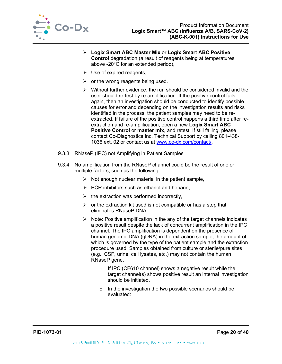

- **Logix Smart ABC Master Mix** or **Logix Smart ABC Positive Control** degradation (a result of reagents being at temperatures above -20°C for an extended period),
- $\triangleright$  Use of expired reagents,
- $\triangleright$  or the wrong reagents being used.
- $\triangleright$  Without further evidence, the run should be considered invalid and the user should re-test by re-amplification. If the positive control fails again, then an investigation should be conducted to identify possible causes for error and depending on the investigation results and risks identified in the process, the patient samples may need to be reextracted. If failure of the positive control happens a third time after reextraction and re-amplification, open a new **Logix Smart ABC Positive Control** or **master mix**, and retest. If still failing, please contact Co-Diagnostics Inc. Technical Support by calling 801-438- 1036 ext. 02 or contact us at [www.co-dx.com/contact/.](http://www.co-dx.com/contact/)
- 9.3.3 RNaseP (IPC) not Amplifying in Patient Samples
- 9.3.4 No amplification from the RNaseP channel could be the result of one or multiple factors, such as the following:
	- $\triangleright$  Not enough nuclear material in the patient sample,
	- $\triangleright$  PCR inhibitors such as ethanol and heparin,
	- $\triangleright$  the extraction was performed incorrectly,
	- $\triangleright$  or the extraction kit used is not compatible or has a step that eliminates RNaseP DNA.
	- $\triangleright$  Note: Positive amplification in the any of the target channels indicates a positive result despite the lack of concurrent amplification in the IPC channel. The IPC amplification is dependent on the presence of human genomic DNA (gDNA) in the extraction sample, the amount of which is governed by the type of the patient sample and the extraction procedure used. Samples obtained from culture or sterile/pure sites (e.g., CSF, urine, cell lysates, etc.) may not contain the human RNaseP gene.
		- o If IPC (CF610 channel) shows a negative result while the target channel(s) shows positive result an internal investigation should be initiated.
		- o In the investigation the two possible scenarios should be evaluated: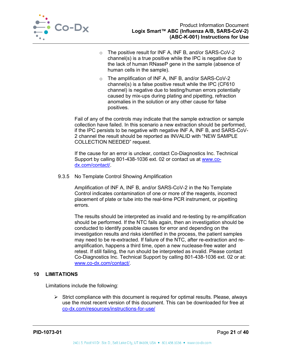

- o The positive result for INF A, INF B, and/or SARS-CoV-2 channel(s) is a true positive while the IPC is negative due to the lack of human RNaseP gene in the sample (absence of human cells in the sample).
- o The amplification of INF A, INF B, and/or SARS-CoV-2 channel(s) is a false positive result while the IPC (CF610 channel) is negative due to testing/human errors potentially caused by mix-ups during plating and pipetting, refraction anomalies in the solution or any other cause for false positives.

Fail of any of the controls may indicate that the sample extraction or sample collection have failed. In this scenario a new extraction should be performed, if the IPC persists to be negative with negative INF A, INF B, and SARS-CoV-2 channel the result should be reported as INVALID with "NEW SAMPLE COLLECTION NEEDED" request.

If the cause for an error is unclear, contact Co-Diagnostics Inc. Technical Support by calling 801-438-1036 ext. 02 or contact us at [www.co](http://www.co-dx.com/contact/)[dx.com/contact/.](http://www.co-dx.com/contact/)

9.3.5 No Template Control Showing Amplification

Amplification of INF A, INF B, and/or SARS-CoV-2 in the No Template Control indicates contamination of one or more of the reagents, incorrect placement of plate or tube into the real-time PCR instrument, or pipetting errors.

The results should be interpreted as invalid and re-testing by re-amplification should be performed. If the NTC fails again, then an investigation should be conducted to identify possible causes for error and depending on the investigation results and risks identified in the process, the patient samples may need to be re-extracted. If failure of the NTC, after re-extraction and reamplification, happens a third time, open a new nuclease-free water and retest. If still failing, the run should be interpreted as invalid. Please contact Co-Diagnostics Inc. Technical Support by calling 801-438-1036 ext. 02 or at: [www.co-dx.com/contact/.](http://www.co-dx.com/contact/)

## <span id="page-21-0"></span>**10 LIMITATIONS**

Limitations include the following:

 $\triangleright$  Strict compliance with this document is required for optimal results. Please, always use the most recent version of this document. This can be downloaded for free at [co-dx.com/resources/instructions-for-use/](https://codiagnostics.com/resources/instructions-for-use/)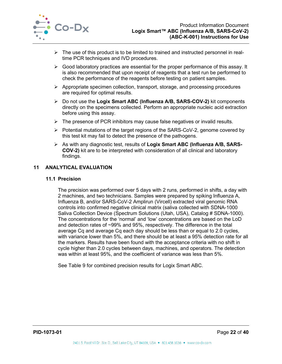

- $\triangleright$  The use of this product is to be limited to trained and instructed personnel in realtime PCR techniques and IVD procedures.
- $\triangleright$  Good laboratory practices are essential for the proper performance of this assay. It is also recommended that upon receipt of reagents that a test run be performed to check the performance of the reagents before testing on patient samples.
- $\triangleright$  Appropriate specimen collection, transport, storage, and processing procedures are required for optimal results.
- Do not use the **Logix Smart ABC (Influenza A/B, SARS-COV-2)** kit components directly on the specimens collected. Perform an appropriate nucleic acid extraction before using this assay.
- $\triangleright$  The presence of PCR inhibitors may cause false negatives or invalid results.
- $\triangleright$  Potential mutations of the target regions of the SARS-CoV-2, genome covered by this test kit may fail to detect the presence of the pathogens.
- As with any diagnostic test, results of **Logix Smart ABC (Influenza A/B, SARS-COV-2)** kit are to be interpreted with consideration of all clinical and laboratory findings.

#### <span id="page-22-1"></span><span id="page-22-0"></span>**11 ANALYTICAL EVALUATION**

#### **11.1 Precision**

The precision was performed over 5 days with 2 runs, performed in shifts, a day with 2 machines, and two technicians. Samples were prepared by spiking Influenza A, Influenza B, and/or SARS-CoV-2 Amplirun (Vircell) extracted viral genomic RNA controls into confirmed negative clinical matrix (saliva collected with SDNA-1000 Saliva Collection Device (Spectrum Solutions (Utah, USA), Catalog # SDNA-1000). The concentrations for the 'normal' and 'low' concentrations are based on the LoD and detection rates of ~99% and 95%, respectively. The difference in the total average Cq and average Cq each day should be less than or equal to 2.0 cycles, with variance lower than 5%, and there should be at least a 95% detection rate for all the markers. Results have been found with the acceptance criteria with no shift in cycle higher than 2.0 cycles between days, machines, and operators. The detection was within at least 95%, and the coefficient of variance was less than 5%.

See [Table 9](#page-23-1) for combined precision results for Logix Smart ABC.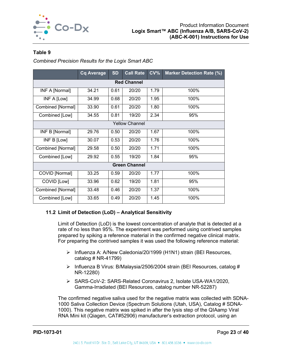

## <span id="page-23-1"></span>**Table 9**

*Combined Precision Results for the Logix Smart ABC*

|                       | <b>Cq Average</b>  | <b>SD</b> | <b>Call Rate</b>      | CV <sub>0</sub> | <b>Marker Detection Rate (%)</b> |  |  |  |  |  |
|-----------------------|--------------------|-----------|-----------------------|-----------------|----------------------------------|--|--|--|--|--|
|                       | <b>Red Channel</b> |           |                       |                 |                                  |  |  |  |  |  |
| <b>INF A [Normal]</b> | 34.21              | 0.61      | 20/20                 | 1.79            | 100%                             |  |  |  |  |  |
| INF A [Low]           | 34.99              | 0.68      | 20/20                 | 1.95            | 100%                             |  |  |  |  |  |
| Combined [Normal]     | 33.90              | 0.61      | 20/20                 | 1.80            | 100%                             |  |  |  |  |  |
| Combined [Low]        | 34.55              | 0.81      | 19/20                 | 2.34            | 95%                              |  |  |  |  |  |
|                       |                    |           | <b>Yellow Channel</b> |                 |                                  |  |  |  |  |  |
| INF B [Normal]        | 29.76              | 0.50      | 20/20                 | 1.67            | 100%                             |  |  |  |  |  |
| INF B [Low]           | 30.07              | 0.53      | 20/20                 | 1.76            | 100%                             |  |  |  |  |  |
| Combined [Normal]     | 29.58              | 0.50      | 20/20                 | 1.71            | 100%                             |  |  |  |  |  |
| Combined [Low]        | 29.92              | 0.55      | 19/20                 | 1.84            | 95%                              |  |  |  |  |  |
|                       |                    |           | <b>Green Channel</b>  |                 |                                  |  |  |  |  |  |
| COVID [Normal]        | 33.25              | 0.59      | 20/20                 | 1.77            | 100%                             |  |  |  |  |  |
| COVID [Low]           | 33.96              | 0.62      | 19/20                 | 1.81            | 95%                              |  |  |  |  |  |
| Combined [Normal]     | 33.48              | 0.46      | 20/20                 | 1.37            | 100%                             |  |  |  |  |  |
| Combined [Low]        | 33.65              | 0.49      | 20/20                 | 1.45            | 100%                             |  |  |  |  |  |

## <span id="page-23-0"></span>**11.2 Limit of Detection (LoD) – Analytical Sensitivity**

Limit of Detection (LoD) is the lowest concentration of analyte that is detected at a rate of no less than 95%. The experiment was performed using contrived samples prepared by spiking a reference material in the confirmed negative clinical matrix. For preparing the contrived samples it was used the following reference material:

- > Influenza A: A/New Caledonia/20/1999 (H1N1) strain (BEI Resources, catalog  $\#$  NR-41799)
- $\triangleright$  Influenza B Virus: B/Malaysia/2506/2004 strain (BEI Resources, catalog # NR-12280)
- SARS-CoV-2: SARS-Related Coronavirus 2, Isolate USA-WA1/2020, Gamma-Irradiated (BEI Resources, catalog number NR-52287)

The confirmed negative saliva used for the negative matrix was collected with SDNA-1000 Saliva Collection Device (Spectrum Solutions (Utah, USA), Catalog # SDNA-1000). This negative matrix was spiked in after the lysis step of the QIAamp Viral RNA Mini kit (Qiagen, CAT#52906) manufacturer's extraction protocol, using an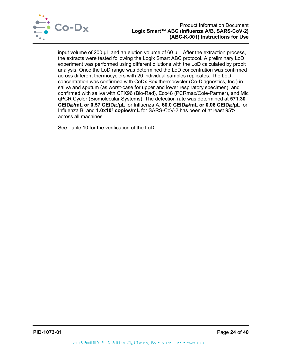

input volume of 200 µL and an elution volume of 60 µL. After the extraction process, the extracts were tested following the Logix Smart ABC protocol. A preliminary LoD experiment was performed using different dilutions with the LoD calculated by probit analysis. Once the LoD range was determined the LoD concentration was confirmed across different thermocyclers with 20 individual samples replicates. The LoD concentration was confirmed with CoDx Box thermocycler (Co-Diagnostics, Inc.) in saliva and sputum (as worst-case for upper and lower respiratory specimen), and confirmed with saliva with CFX96 (Bio-Rad), Eco48 (PCRmax/Cole-Parmer), and Mic qPCR Cycler (Biomolecular Systems). The detection rate was determined at **571.30 CEID50/mL or 0.57 CEID50/µL** for Influenza A, **60.0 CEID50/mL or 0.06 CEID50/µL** for Influenza B, and **1.0x103 copies/mL** for SARS-CoV-2 has been of at least 95% across all machines.

See [Table 10](#page-25-0) for the verification of the LoD.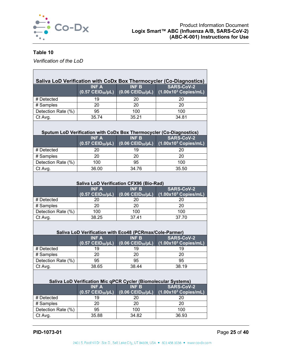

┑

## <span id="page-25-0"></span>**Table 10**

*Verification of the LoD*

|                    | Saliva LoD Verification with CoDx Box Thermocycler (Co-Diagnostics) |                                                  |                                                                     |  |  |  |  |
|--------------------|---------------------------------------------------------------------|--------------------------------------------------|---------------------------------------------------------------------|--|--|--|--|
|                    | <b>INF A</b><br>$(0.57 \text{ CElD}_{50}/\mu L)$                    | <b>INF B</b><br>$(0.06 \text{ CEID}_{50}/\mu L)$ | <b>SARS-CoV-2</b><br>$(1.00x103$ Copies/mL)                         |  |  |  |  |
| # Detected         | 19                                                                  | 20                                               | 20                                                                  |  |  |  |  |
| # Samples          | 20                                                                  | 20                                               | 20                                                                  |  |  |  |  |
| Detection Rate (%) | 95                                                                  | 100                                              | 100                                                                 |  |  |  |  |
| Ct Avg.            | 35.74                                                               | 35.21                                            | 34.81                                                               |  |  |  |  |
|                    |                                                                     |                                                  | Sputum LoD Verification with CoDx Box Thermocycler (Co-Diagnostics) |  |  |  |  |
|                    | <b>INF A</b><br>$(0.57 \text{ CElD}_{50}/\mu L)$                    | <b>INF B</b><br>$(0.06 \text{ CEID}_{50}/\mu L)$ | <b>SARS-CoV-2</b><br>$(1.00x10^3$ Copies/mL)                        |  |  |  |  |
| # Detected         | 20                                                                  | 19                                               | 20                                                                  |  |  |  |  |
| # Samples          | 20                                                                  | 20                                               | 20                                                                  |  |  |  |  |
| Detection Rate (%) | 100                                                                 | 95                                               | 100                                                                 |  |  |  |  |
| Ct Avg.            | 36.00                                                               | 34.76                                            | 35.50                                                               |  |  |  |  |
|                    | <b>Saliva LoD Verification CFX96 (Bio-Rad)</b>                      |                                                  |                                                                     |  |  |  |  |
|                    | <b>INF A</b><br>$(0.57 \text{ CElD}_{50}/\mu L)$                    | <b>INF B</b><br>$(0.06 \text{ CEID}_{50}/\mu L)$ | <b>SARS-CoV-2</b><br>$(1.00x103$ Copies/mL)                         |  |  |  |  |
| # Detected         | 20                                                                  | 20                                               | 20                                                                  |  |  |  |  |
| # Samples          | 20                                                                  | 20                                               | 20                                                                  |  |  |  |  |
| Detection Rate (%) | 100                                                                 | 100                                              | 100                                                                 |  |  |  |  |
| Ct Avg.            | 38.25                                                               | 37.41                                            | 37.70                                                               |  |  |  |  |
|                    | Saliva LoD Verification with Eco48 (PCRmax/Cole-Parmer)             |                                                  |                                                                     |  |  |  |  |
|                    | <b>INF A</b>                                                        | <b>INF B</b>                                     | <b>SARS-CoV-2</b>                                                   |  |  |  |  |
|                    | $(0.57 \text{ CElD}_{50}/\mu L)$                                    | $(0.06 \text{ CEID}_{50}/\mu L)$                 | $(1.00x103$ Copies/mL)                                              |  |  |  |  |
| # Detected         | 19                                                                  | 19                                               | 19                                                                  |  |  |  |  |
| # Samples          | 20                                                                  | 20                                               | 20                                                                  |  |  |  |  |
| Detection Rate (%) | 95                                                                  | 95                                               | 95                                                                  |  |  |  |  |
| Ct Avg.            | 38.65                                                               | 38.44                                            | 38.19                                                               |  |  |  |  |
|                    | Saliva LoD Verification Mic qPCR Cycler (Biomolecular Systems)      |                                                  |                                                                     |  |  |  |  |
|                    | <b>INF A</b>                                                        | <b>INF B</b>                                     | <b>SARS-CoV-2</b>                                                   |  |  |  |  |
|                    | $(0.57 \text{ CElD}_{50}/\mu L)$                                    | $(0.06 \text{ CEID}_{50}/\mu L)$                 | $(1.00x10^3$ Copies/mL)                                             |  |  |  |  |
| # Detected         | 19                                                                  | 20                                               | 20                                                                  |  |  |  |  |
| # Samples          | 20                                                                  | 20                                               | 20                                                                  |  |  |  |  |
| Detection Rate (%) | 95                                                                  | 100                                              | 100                                                                 |  |  |  |  |
| Ct Avg.            | 35.88                                                               | 34.82                                            | 36.93                                                               |  |  |  |  |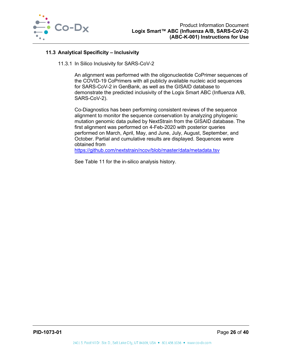

## <span id="page-26-0"></span>**11.3 Analytical Specificity – Inclusivity**

11.3.1 In Silico Inclusivity for SARS-CoV-2

An alignment was performed with the oligonucleotide CoPrimer sequences of the COVID-19 CoPrimers with all publicly available nucleic acid sequences for SARS-CoV-2 in GenBank, as well as the GISAID database to demonstrate the predicted inclusivity of the Logix Smart ABC (Influenza A/B, SARS-CoV-2).

Co-Diagnostics has been performing consistent reviews of the sequence alignment to monitor the sequence conservation by analyzing phylogenic mutation genomic data pulled by NextStrain from the GISAID database. The first alignment was performed on 4-Feb-2020 with posterior queries performed on March, April, May, and June, July, August, September, and October. Partial and cumulative results are displayed. Sequences were obtained from

<https://github.com/nextstrain/ncov/blob/master/data/metadata.tsv>

See [Table 11](#page-27-0) for the in-silico analysis history.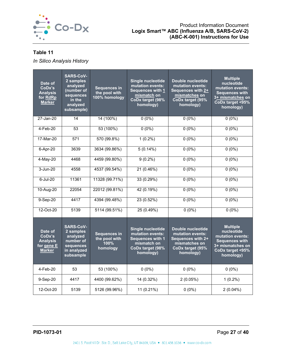

## <span id="page-27-0"></span>**Table 11**

*In Silico Analysis History*

| Date of<br>CoDx's<br><b>Analysis</b><br>for RdRp<br><b>Marker</b>   | <b>SARS-CoV-</b><br>2 samples<br>analyzed<br>(number of<br>sequences<br>in the<br>analyzed<br>subsample) | <b>Sequences in</b><br>the pool with<br>100% homology    | <b>Single nucleotide</b><br>mutation events:<br><b>Sequences with 1</b><br>mismatch on<br>CoDx target (98%<br>homology) | Double nucleotide<br>mutation events:<br>Sequences with 2+<br>mismatches on<br>CoDx target (95%<br>homology) | <b>Multiple</b><br>nucleotide<br>mutation events:<br><b>Sequences with</b><br>3+ mismatches on<br>CoDx target <95%<br>homology) |
|---------------------------------------------------------------------|----------------------------------------------------------------------------------------------------------|----------------------------------------------------------|-------------------------------------------------------------------------------------------------------------------------|--------------------------------------------------------------------------------------------------------------|---------------------------------------------------------------------------------------------------------------------------------|
| 27-Jan-20                                                           | 14                                                                                                       | 14(100%)                                                 | $0(0\%)$                                                                                                                | $0(0\%)$                                                                                                     | $0(0\%)$                                                                                                                        |
| 4-Feb-20                                                            | $\overline{53}$                                                                                          | 53 (100%)                                                | $0(0\%)$                                                                                                                | $0(0\%)$                                                                                                     | $0(0\%)$                                                                                                                        |
| 17-Mar-20                                                           | 571                                                                                                      | 570 (99.8%)                                              | $1(0.2\%)$                                                                                                              | $0(0\%)$                                                                                                     | $0(0\%)$                                                                                                                        |
| 6-Apr-20                                                            | 3639                                                                                                     | 3634 (99.86%)                                            | 5(0.14%)                                                                                                                | $0(0\%)$                                                                                                     | $0(0\%)$                                                                                                                        |
| 4-May-20                                                            | 4468                                                                                                     | 4459 (99.80%)                                            | $9(0.2\%)$                                                                                                              | $0(0\%)$                                                                                                     | $0(0\%)$                                                                                                                        |
| $3 - Jun-20$                                                        | 4558                                                                                                     | 4537 (99.54%)                                            | 21(0.46%)                                                                                                               | $0(0\%)$                                                                                                     | $0(0\%)$                                                                                                                        |
| $6$ -Jul-20                                                         | 11361                                                                                                    | 11328 (99.71%)                                           | 33 (0.29%)                                                                                                              | $0(0\%)$                                                                                                     | $0(0\%)$                                                                                                                        |
| 10-Aug-20                                                           | 22054                                                                                                    | 22012 (99.81%)                                           | 42 (0.19%)                                                                                                              | $0(0\%)$                                                                                                     | $0(0\%)$                                                                                                                        |
| 9-Sep-20                                                            | 4417                                                                                                     | 4394 (99.48%)                                            | 23 (0.52%)                                                                                                              | $0(0\%)$                                                                                                     | $0(0\%)$                                                                                                                        |
| 12-Oct-20                                                           | 5139                                                                                                     | 5114 (99.51%)                                            | 25(0.49%)                                                                                                               | $0(0\%)$                                                                                                     | $0(0\%)$                                                                                                                        |
| Date of<br>CoDx's<br><b>Analysis</b><br>for gene E<br><b>Marker</b> | <b>SARS-CoV-</b><br>2 samples<br>analyzed<br>number of<br>sequences<br>in analyzed<br>subsample          | <b>Sequences in</b><br>the pool with<br>100%<br>homology | <b>Single nucleotide</b><br>mutation events:<br><b>Sequences with 1</b><br>mismatch on<br>CoDx target (98%<br>homology) | Double nucleotide<br>mutation events:<br>Sequences with 2+<br>mismatches on<br>CoDx target (95%<br>homology) | <b>Multiple</b><br>nucleotide<br>mutation events:<br><b>Sequences with</b><br>3+ mismatches on<br>CoDx target <95%<br>homology) |
| 4-Feb-20                                                            | 53                                                                                                       | 53 (100%)                                                | $0(0\%)$                                                                                                                | $0(0\%)$                                                                                                     | $0(0\%)$                                                                                                                        |
| 9-Sep-20                                                            | 4417                                                                                                     | 4400 (99.62%)                                            | 14 (0.32%)                                                                                                              | 2(0.05%)                                                                                                     | $1(0.2\%)$                                                                                                                      |
| 12-Oct-20                                                           | 5139                                                                                                     | 5126 (99.96%)                                            | 11 (0.21%)                                                                                                              | $0(0\%)$                                                                                                     | $2(0.04\%)$                                                                                                                     |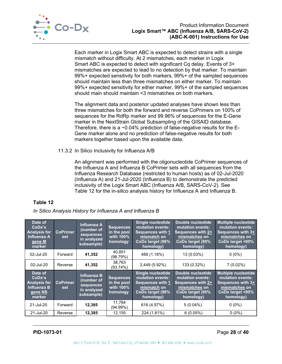

Each marker in Logix Smart ABC is expected to detect strains with a single mismatch without difficulty. At 2 mismatches, each marker in Logix Smart ABC is expected to detect with significant Cq delay. Events of 3+ mismatches are expected to lead to no detection by that marker. To maintain 99%+ expected sensitivity for both markers, 99%+ of the sampled sequences should maintain less than three mismatches on either marker. To maintain 99%+ expected sensitivity for either marker, 99%+ of the sampled sequences should main should maintain <3 mismatches on both markers.

The alignment data and posterior updated analyses have shown less than three mismatches for both the forward and reverse CoPrimers on 100% of sequences for the RdRp marker and 99.96% of sequences for the E-Gene marker in the NextStrain Global Subsampling of the GISAID database. Therefore, there is a ~0.04% prediction of false-negative results for the E-Gene marker alone and no prediction of false-negative results for both markers together based upon the available data.

#### 11.3.2 In Silico Inclusivity for Influenza A/B

An alignment was performed with the oligonucleotide CoPrimer sequences of the Influenza A and Influenza B CoPrimer sets with all sequences from the Influenza Research Database (restricted to human hosts) as of 02-Jul-2020 (Influenza A) and 21-Jul-2020 (Influenza B) to demonstrate the predicted inclusivity of the Logix Smart ABC (Influenza A/B, SARS-CoV-2). See [Table 12](#page-28-0) for the in-silico analysis history for Influenza A and Influenza B.

## <span id="page-28-0"></span>**Table 12**

*In Silico Analysis History for Influenza A and Influenza B*

| Date of<br>CoDx's<br><b>Analysis for</b><br><b>Influenza A</b><br>gene M'<br>marker | <b>CoPrimer</b><br>set | <b>Influenza A</b><br>(number of<br>sequences<br>in analyzed<br>subsample) | <b>Sequences</b><br>in the pool<br>with 100%<br>homology | <b>Single nucleotide</b><br>mutation events:<br><b>Sequences with 1</b><br>mismatch on<br>CoDx target (98%<br>homology) | Double nucleotide<br>mutation events:<br>Sequences with 2+<br>mismatches on<br>CoDx target (95%<br>homology) | <b>Multiple nucleotide</b><br>mutation events:<br>Sequences with 3+<br>mismatches on<br>CoDx target <95%<br>homology)             |
|-------------------------------------------------------------------------------------|------------------------|----------------------------------------------------------------------------|----------------------------------------------------------|-------------------------------------------------------------------------------------------------------------------------|--------------------------------------------------------------------------------------------------------------|-----------------------------------------------------------------------------------------------------------------------------------|
| 02-Jul-20                                                                           | Forward                | 41,352                                                                     | 40.851<br>(98.79%)                                       | 488 (1.18%)                                                                                                             | 13 (0.03%)                                                                                                   | $0(0\%)$                                                                                                                          |
| 02-Jul-20                                                                           | Reverse                | 41,352                                                                     | 38.763<br>(93.74%)                                       | 2,449 (5.92%)                                                                                                           | 133 (0.32%)                                                                                                  | $7(0.02\%)$                                                                                                                       |
| Date of<br>CoDx's<br><b>Analysis for</b><br>Influenza B<br>gene NS<br>marker        | <b>CoPrimer</b><br>set | Influenza B<br>(number of<br>sequences<br>in analyzed<br>subsample)        | <b>Sequences</b><br>in the pool<br>with 100%<br>homology | <b>Single nucleotide</b><br>mutation events:<br>Sequences with 1<br>mismatch on<br>CoDx target (98%<br>homology)        | Double nucleotide<br>mutation events:<br>Sequences with 2+<br>mismatches on<br>CoDx target (95%<br>homology) | <b>Multiple nucleotide</b><br>mutation events:<br>Sequences with 3 <sup>+</sup><br>mismatches on<br>CoDx target <95%<br>homology) |
| 21-Jul-20                                                                           | Forward                | 12,385                                                                     | 11.764<br>(94.99%)                                       | 616 (4.97%)                                                                                                             | $5(0.04\%)$                                                                                                  | $0(0\%)$                                                                                                                          |
| 21-Jul-20                                                                           | Reverse                | 12,385                                                                     | 12,155                                                   | 224 (1.81%)                                                                                                             | 6(0.05%)                                                                                                     | $0(0\%)$                                                                                                                          |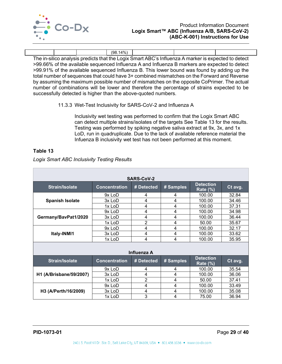

|  | $(98.14\%)$ |                                                                                                     |  |
|--|-------------|-----------------------------------------------------------------------------------------------------|--|
|  |             | The in-silico analysis predicts that the Logix Smart ABC's Influenza A marker is expected to detect |  |

>99.66% of the available sequenced Influenza A and Influenza B markers are expected to detect >99.91% of the available sequenced Influenza B. This lower bound was found by adding up the total number of sequences that could have 3+ combined mismatches on the Forward and Reverse by assuming the maximum possible number of mismatches on the opposite CoPrimer. The actual number of combinations will be lower and therefore the percentage of strains expected to be successfully detected is higher than the above-quoted numbers.

#### 11.3.3 Wet-Test Inclusivity for SARS-CoV-2 and Influenza A

Inclusivity wet testing was performed to confirm that the Logix Smart ABC can detect multiple strains/isolates of the targets See [Table 13](#page-29-1) for the results. Testing was performed by spiking negative saliva extract at 9x, 3x, and 1x LoD, run in quadruplicate. Due to the lack of available reference material the Infuenza B inclusivity wet test has not been performed at this moment.

#### <span id="page-29-1"></span>**Table 13**

<span id="page-29-0"></span>

| <b>SARS-CoV-2</b>       |                      |                |           |                                     |         |
|-------------------------|----------------------|----------------|-----------|-------------------------------------|---------|
| <b>Strain/Isolate</b>   | <b>Concentration</b> | # Detected     | # Samples | <b>Detection</b><br><b>Rate (%)</b> | Ct avg. |
|                         | 9x LoD               | 4              | 4         | 100.00                              | 32.84   |
| <b>Spanish Isolate</b>  | 3x LoD               | 4              | 4         | 100.00                              | 34.46   |
|                         | 1x LoD               | 4              | 4         | 100.00                              | 37.31   |
|                         | 9x LoD               | 4              | 4         | 100.00                              | 34.98   |
| Germany/BavPat1/2020    | 3x LoD               | 4              | 4         | 100.00                              | 36.44   |
|                         | 1x LoD               | $\overline{2}$ | 4         | 50.00                               | 35.67   |
|                         | 9x LoD               | 4              | 4         | 100.00                              | 32.17   |
| Italy-INMI1             | $3x$ LoD             | 4              | 4         | 100.00                              | 33.62   |
|                         | 1x LoD               | 4              | 4         | 100.00                              | 35.95   |
|                         |                      | Influenza A    |           |                                     |         |
| <b>Strain/Isolate</b>   | <b>Concentration</b> | # Detected     | # Samples | <b>Detection</b><br><b>Rate (%)</b> | Ct avg. |
|                         | 9x LoD               | 4              | 4         | 100.00                              | 35.54   |
| H1 (A/Brisbane/59/2007) | 3x LoD               | 4              | 4         | 100.00                              | 36.06   |
|                         | 1x LoD               | $\overline{2}$ | 4         | 50.00                               | 37.41   |
|                         | 9x LoD               | 4              | 4         | 100.00                              | 33.49   |
| H3 (A/Perth/16/2009)    | $3x$ LoD             | 4              | 4         | 100.00                              | 35.08   |
|                         | 1x LoD               | 3              | 4         | 75.00                               | 36.94   |

*Logix Smart ABC Inclusivity Testing Results*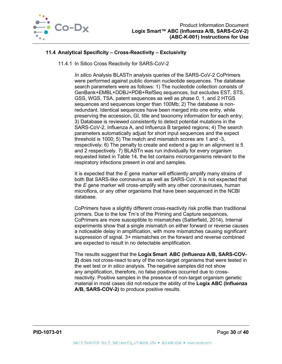

## **11.4 Analytical Specificity – Cross-Reactivity – Exclusivity**

11.4.1 In Silico Cross Reactivity for SARS-CoV-2

*In silico* Analysis BLASTn analysis queries of the SARS-CoV-2 CoPrimers were performed against public domain nucleotide sequences. The database search parameters were as follows: 1) The nucleotide collection consists of GenBank+EMBL+DDBJ+PDB+RefSeq sequences, but excludes EST, STS, GSS, WGS, TSA, patent sequences as well as phase 0, 1, and 2 HTGS sequences and sequences longer than 100Mb; 2) The database is nonredundant. Identical sequences have been merged into one entry, while preserving the accession, GI, title and taxonomy information for each entry; 3) Database is reviewed consistently to detect potential mutations in the SARS-CoV-2, Influenza A, and Influenza B targeted regions; 4) The search parameters automatically adjust for short input sequences and the expect threshold is 1000; 5) The match and mismatch scores are 1 and -3, respectively; 6) The penalty to create and extend a gap in an alignment is 5 and 2 respectively. 7) BLASTn was run individually for every organism requested listed in [Table 14,](#page-31-0) the list contains microorganisms relevant to the respiratory infections present in oral and samples.

It is expected that the *E* gene marker will efficiently amplify many strains of both Bat SARS-like coronavirus as well as SARS-CoV. It is not expected that the *E* gene marker will cross-amplify with any other coronaviruses, human microflora, or any other organisms that have been sequenced in the NCBI database.

CoPrimers have a slightly different cross-reactivity risk profile than traditional primers. Due to the low Tm's of the Priming and Capture sequences, CoPrimers are more susceptible to mismatches (Satterfield, 2014). Internal experiments show that a single mismatch on either forward or reverse causes a noticeable delay in amplification, with more mismatches causing significant suppression of signal. 3+ mismatches on the forward and reverse combined are expected to result in no detectable amplification.

The results suggest that the **Logix Smart  ABC (Influenza A/B, SARS-COV-2)** does not cross-react to any of the non-target organisms that were tested in the wet test or *in silico* analysis. The negative samples did not show any amplification, therefore, no false positives occurred due to crossreactivity. Positive samples in the presence of non-target organism genetic material in most cases did not reduce the ability of the **Logix ABC (Influenza A/B, SARS-COV-2)** to produce positive results.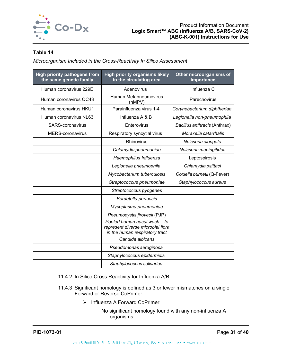

## <span id="page-31-0"></span>**Table 14**

*Microorganism Included in the Cross-Reactivity In Silico Assessment*

| <b>High priority pathogens from</b><br>the same genetic family | <b>High priority organisms likely</b><br>in the circulating area                                    | Other microorganisms of<br>importance |
|----------------------------------------------------------------|-----------------------------------------------------------------------------------------------------|---------------------------------------|
| Human coronavirus 229E                                         | Adenovirus                                                                                          | Influenza C                           |
| Human coronavirus OC43                                         | Human Metapneumovirus<br>(hMPV)                                                                     | Parechovirus                          |
| Human coronavirus HKU1                                         | Parainfluenza virus 1-4                                                                             | Corynebacterium diphtheriae           |
| Human coronavirus NL63                                         | Influenza A & B                                                                                     | Legionella non-pneumophila            |
| <b>SARS-coronavirus</b>                                        | Enterovirus                                                                                         | Bacillus anthracis (Anthrax)          |
| <b>MERS-coronavirus</b>                                        | Respiratory syncytial virus                                                                         | Moraxella catarrhalis                 |
|                                                                | Rhinovirus                                                                                          | Neisseria elongata                    |
|                                                                | Chlamydia pneumoniae                                                                                | Neisseria meningitides                |
|                                                                | Haemophilus Influenza                                                                               | Leptospirosis                         |
|                                                                | Legionella pneumophila                                                                              | Chlamydia psittaci                    |
|                                                                | Mycobacterium tuberculosis                                                                          | Coxiella burnetii (Q-Fever)           |
|                                                                | Streptococcus pneumoniae                                                                            | Staphylococcus aureus                 |
|                                                                | Streptococcus pyogenes                                                                              |                                       |
|                                                                | Bordetella pertussis                                                                                |                                       |
|                                                                | Mycoplasma pneumoniae                                                                               |                                       |
|                                                                | Pneumocystis jirovecii (PJP)                                                                        |                                       |
|                                                                | Pooled human nasal wash - to<br>represent diverse microbial flora<br>in the human respiratory tract |                                       |
|                                                                | Candida albicans                                                                                    |                                       |
|                                                                | Pseudomonas aeruginosa                                                                              |                                       |
|                                                                | Staphylococcus epidermidis                                                                          |                                       |
|                                                                | Staphylococcus salivarius                                                                           |                                       |

11.4.2 In Silico Cross Reactivity for Influenza A/B

- 11.4.3 Significant homology is defined as 3 or fewer mismatches on a single Forward or Reverse CoPrimer.
	- $\triangleright$  Influenza A Forward CoPrimer:
		- No significant homology found with any non-influenza A organisms.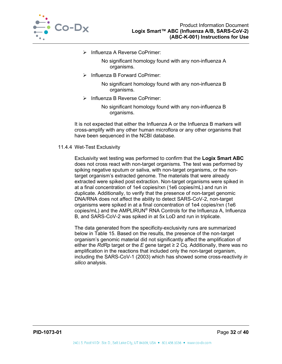

> Influenza A Reverse CoPrimer:

No significant homology found with any non-influenza A organisms.

 $\triangleright$  Influenza B Forward CoPrimer:

No significant homology found with any non-influenza B organisms.

> Influenza B Reverse CoPrimer:

No significant homology found with any non-influenza B organisms.

It is not expected that either the Influenza A or the Influenza B markers will cross-amplify with any other human microflora or any other organisms that have been sequenced in the NCBI database.

#### <span id="page-32-0"></span>11.4.4 Wet-Test Exclusivity

Exclusivity wet testing was performed to confirm that the **Logix Smart ABC** does not cross react with non-target organisms. The test was performed by spiking negative sputum or saliva, with non-target organisms, or the nontarget organism's extracted genome. The materials that were already extracted were spiked post extraction. Non-target organisms were spiked in at a final concentration of 1e4 copies/rxn (1e6 copies/mL) and run in duplicate. Additionally, to verify that the presence of non-target genomic DNA/RNA does not affect the ability to detect SARS-CoV-2, non-target organisms were spiked in at a final concentration of 1e4 copies/rxn (1e6 copies/mL) and the AMPLIRUN® RNA Controls for the Influenza A, Influenza B, and SARS-CoV-2 was spiked in at 5x LoD and run in triplicate.

The data generated from the specificity-exclusivity runs are summarized below in [Table 15.](#page-33-1) Based on the results, the presence of the non-target organism's genomic material did not significantly affect the amplification of either the *RdRp* target or the *E* gene target  $\geq$  2 Cq. Additionally, there was no amplification in the reactions that included only the non-target organism, including the SARS-CoV-1 (2003) which has showed some cross-reactivity *in silico* analysis.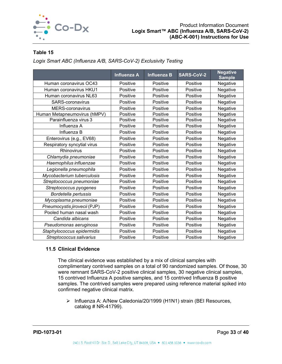

## <span id="page-33-1"></span>**Table 15**

*Logix Smart ABC (Influenza A/B, SARS-CoV-2) Exclusivity Testing*

|                              | <b>Influenza A</b> | <b>Influenza B</b> | <b>SARS-CoV-2</b> | <b>Negative</b><br><b>Sample</b> |
|------------------------------|--------------------|--------------------|-------------------|----------------------------------|
| Human coronavirus OC43       | Positive           | Positive           | Positive          | Negative                         |
| Human coronavirus HKU1       | Positive           | Positive           | Positive          | Negative                         |
| Human coronavirus NL63       | Positive           | Positive           | Positive          | Negative                         |
| SARS-coronavirus             | Positive           | Positive           | Positive          | Negative                         |
| MERS-coronavirus             | Positive           | Positive           | Positive          | Negative                         |
| Human Metapneumovirus (hMPV) | Positive           | Positive           | Positive          | Negative                         |
| Parainfluenza virus 3        | Positive           | Positive           | Positive          | Negative                         |
| Influenza A                  | Positive           | Positive           | Positive          | Negative                         |
| Influenza B                  | Positive           | Positive           | Positive          | Negative                         |
| Enterovirus (e.g., EV68)     | Positive           | Positive           | Positive          | Negative                         |
| Respiratory syncytial virus  | Positive           | Positive           | Positive          | Negative                         |
| Rhinovirus                   | Positive           | Positive           | Positive          | Negative                         |
| Chlamydia pneumoniae         | Positive           | Positive           | Positive          | Negative                         |
| Haemophilus influenzae       | Positive           | Positive           | Positive          | Negative                         |
| Legionella pneumophila       | Positive           | Positive           | Positive          | Negative                         |
| Mycobacterium tuberculosis   | Positive           | Positive           | Positive          | Negative                         |
| Streptococcus pneumoniae     | Positive           | Positive           | Positive          | Negative                         |
| Streptococcus pyogenes       | Positive           | Positive           | Positive          | Negative                         |
| Bordetella pertussis         | Positive           | Positive           | Positive          | Negative                         |
| Mycoplasma pneumoniae        | Positive           | Positive           | Positive          | Negative                         |
| Pneumocystis jirovecii (PJP) | Positive           | Positive           | Positive          | Negative                         |
| Pooled human nasal wash      | Positive           | Positive           | Positive          | Negative                         |
| Candida albicans             | Positive           | Positive           | Positive          | Negative                         |
| Pseudomonas aeruginosa       | Positive           | Positive           | Positive          | Negative                         |
| Staphylococcus epidermidis   | Positive           | Positive           | Positive          | Negative                         |
| Streptococcus salivarius     | Positive           | Positive           | Positive          | Negative                         |

#### <span id="page-33-0"></span>**11.5 Clinical Evidence**

The clinical evidence was established by a mix of clinical samples with complimentary contrived samples on a total of 90 randomized samples. Of those, 30 were remnant SARS-CoV-2 positive clinical samples, 30 negative clinical samples, 15 contrived Influenza A positive samples, and 15 contrived Influenza B positive samples. The contrived samples were prepared using reference material spiked into confirmed negative clinical matrix.

> Influenza A: A/New Caledonia/20/1999 (H1N1) strain (BEI Resources, catalog # NR-41799).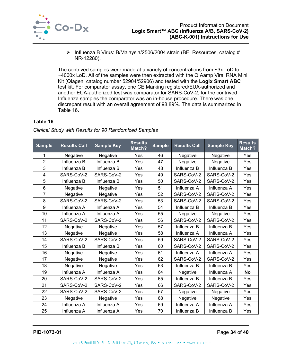

 $\triangleright$  Influenza B Virus: B/Malaysia/2506/2004 strain (BEI Resources, catalog # NR-12280).

The contrived samples were made at a variety of concentrations from ~3x LoD to ~4000x LoD. All of the samples were then extracted with the QIAamp Viral RNA Mini Kit (Qiagen, catalog number 52904/52906) and tested with the **Logix Smart ABC** test kit. For comparator assay, one CE Marking registered/EUA-authorized and another EUA-authorized test was comparator for SARS-CoV-2, for the contrived Influenza samples the comparator was an in-house procedure. There was one discrepant result with an overall agreement of 98.89%. The data is summarized in [Table 16.](#page-34-0)

## <span id="page-34-0"></span>**Table 16**

| <b>Sample</b>  | <b>Results Call</b> | <b>Sample Key</b> | <b>Results</b><br>Match? | <b>Sample</b> | <b>Results Call</b> | <b>Sample Key</b> | <b>Results</b><br>Match? |
|----------------|---------------------|-------------------|--------------------------|---------------|---------------------|-------------------|--------------------------|
| 1              | Negative            | Negative          | Yes                      | 46            | Negative            | Negative          | Yes                      |
| $\overline{2}$ | Influenza B         | Influenza B       | Yes                      | 47            | Negative            | Negative          | Yes                      |
| 3              | Influenza B         | Influenza B       | Yes                      | 48            | Influenza B         | Influenza B       | Yes                      |
| $\overline{4}$ | SARS-CoV-2          | SARS-CoV-2        | Yes                      | 49            | SARS-CoV-2          | SARS-CoV-2        | Yes                      |
| 5              | Influenza B         | Influenza B       | Yes                      | 50            | SARS-CoV-2          | SARS-CoV-2        | Yes                      |
| 6              | Negative            | Negative          | Yes                      | 51            | Influenza A         | Influenza A       | Yes                      |
| $\overline{7}$ | Negative            | Negative          | Yes                      | 52            | SARS-CoV-2          | SARS-CoV-2        | Yes                      |
| 8              | SARS-CoV-2          | SARS-CoV-2        | Yes                      | 53            | SARS-CoV-2          | SARS-CoV-2        | Yes                      |
| 9              | Influenza A         | Influenza A       | Yes                      | 54            | Influenza B         | Influenza B       | Yes                      |
| 10             | Influenza A         | Influenza A       | Yes                      | 55            | Negative            | Negative          | Yes                      |
| 11             | SARS-CoV-2          | SARS-CoV-2        | Yes                      | 56            | SARS-CoV-2          | SARS-CoV-2        | Yes                      |
| 12             | Negative            | Negative          | Yes                      | 57            | Influenza B         | Influenza B       | Yes                      |
| 13             | Negative            | Negative          | Yes                      | 58            | Influenza A         | Influenza A       | Yes                      |
| 14             | SARS-CoV-2          | SARS-CoV-2        | Yes                      | 59            | SARS-CoV-2          | SARS-CoV-2        | Yes                      |
| 15             | Influenza B         | Influenza B       | Yes                      | 60            | SARS-CoV-2          | SARS-CoV-2        | Yes                      |
| 16             | Negative            | Negative          | Yes                      | 61            | Influenza A         | Influenza A       | Yes                      |
| 17             | Negative            | Negative          | Yes                      | 62            | SARS-CoV-2          | SARS-CoV-2        | Yes                      |
| 18             | Negative            | Negative          | Yes                      | 63            | Influenza B         | Influenza B       | Yes                      |
| 19             | Influenza A         | Influenza A       | Yes                      | 64            | Negative            | Influenza A       | <b>No</b>                |
| 20             | SARS-CoV-2          | SARS-CoV-2        | Yes                      | 65            | Influenza B         | Influenza B       | Yes                      |
| 21             | SARS-CoV-2          | SARS-CoV-2        | Yes                      | 66            | SARS-CoV-2          | SARS-CoV-2        | Yes                      |
| 22             | SARS-CoV-2          | SARS-CoV-2        | Yes                      | 67            | Negative            | Negative          | Yes                      |
| 23             | Negative            | Negative          | Yes                      | 68            | Negative            | Negative          | Yes                      |
| 24             | Influenza A         | Influenza A       | Yes                      | 69            | Influenza A         | Influenza A       | Yes                      |
| 25             | Influenza A         | Influenza A       | Yes                      | 70            | Influenza B         | Influenza B       | Yes                      |

*Clinical Study with Results for 90 Randomized Samples*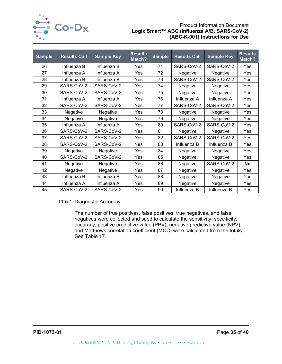

## Product Information Document **Logix Smart™ ABC (Influenza A/B, SARS-CoV-2) (ABC-K-001) Instructions for Use**

| <b>Sample</b> | <b>Results Call</b> | <b>Sample Key</b> | <b>Results</b><br>Match? | <b>Sample</b> | <b>Results Call</b> | <b>Sample Key</b> | <b>Results</b><br>Match? |
|---------------|---------------------|-------------------|--------------------------|---------------|---------------------|-------------------|--------------------------|
| 26            | Influenza B         | Influenza B       | Yes                      | 71            | SARS-CoV-2          | SARS-CoV-2        | Yes                      |
| 27            | Influenza A         | Influenza A       | Yes                      | 72            | Negative            | Negative          | Yes                      |
| 28            | Influenza B         | Influenza B       | Yes                      | 73            | SARS-CoV-2          | SARS-CoV-2        | Yes                      |
| 29            | SARS-CoV-2          | SARS-CoV-2        | Yes                      | 74            | Negative            | Negative          | Yes                      |
| 30            | SARS-CoV-2          | SARS-CoV-2        | Yes                      | 75            | Negative            | Negative          | Yes                      |
| 31            | Influenza A         | Influenza A       | Yes                      | 76            | Influenza A         | Influenza A       | Yes                      |
| 32            | SARS-CoV-2          | SARS-CoV-2        | Yes                      | 77            | SARS-CoV-2          | SARS-CoV-2        | Yes                      |
| 33            | Negative            | Negative          | Yes                      | 78            | Negative            | Negative          | Yes                      |
| 34            | Negative            | Negative          | Yes                      | 79            | Negative            | Negative          | Yes                      |
| 35            | Influenza A         | Influenza A       | Yes                      | 80            | SARS-CoV-2          | SARS-CoV-2        | Yes                      |
| 36            | SARS-CoV-2          | SARS-CoV-2        | Yes                      | 81            | Negative            | Negative          | Yes                      |
| 37            | SARS-CoV-2          | SARS-CoV-2        | Yes                      | 82            | SARS-CoV-2          | SARS-CoV-2        | Yes                      |
| 38            | SARS-CoV-2          | SARS-CoV-2        | Yes                      | 83            | Influenza B         | Influenza B       | Yes                      |
| 39            | Negative            | Negative          | Yes                      | 84            | Negative            | Negative          | Yes                      |
| 40            | SARS-CoV-2          | SARS-CoV-2        | Yes                      | 85            | Negative            | Negative          | Yes                      |
| 41            | Negative            | Negative          | Yes                      | 86            | Negative            | SARS-CoV-2        | <b>No</b>                |
| 42            | Negative            | Negative          | Yes                      | 87            | Negative            | Negative          | Yes                      |
| 43            | Influenza B         | Influenza B       | Yes                      | 88            | Negative            | Negative          | Yes                      |
| 44            | Influenza A         | Influenza A       | Yes                      | 89            | Negative            | Negative          | Yes                      |
| 45            | SARS-CoV-2          | SARS-CoV-2        | Yes                      | 90            | Influenza B         | Influenza B       | Yes                      |

11.5.1 Diagnostic Accuracy

The number of true positives, false positives, true negatives, and false negatives were collected and sued to calculate the sensitivity, specificity, accuracy, positive predictive value (PPV), negative predictive value (NPV), and Matthews correlation coefficient (MCC) were calculated from the totals. See [Table 17.](#page-36-1)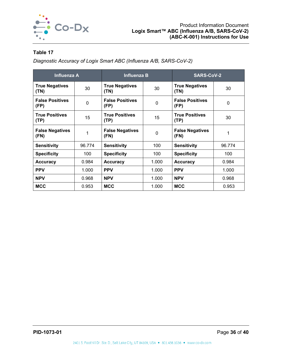

## <span id="page-36-1"></span>**Table 17**

*Diagnostic Accuracy of Logix Smart ABC (Influenza A/B, SARS-CoV-2)*

<span id="page-36-0"></span>

| <b>Influenza A</b>             |        | <b>Influenza B</b>             |              | <b>SARS-CoV-2</b>              |              |
|--------------------------------|--------|--------------------------------|--------------|--------------------------------|--------------|
| <b>True Negatives</b><br>(TN)  | 30     | <b>True Negatives</b><br>(TN)  | 30           | <b>True Negatives</b><br>(TN)  | 30           |
| <b>False Positives</b><br>(FP) | 0      | <b>False Positives</b><br>(FP) | $\mathbf{0}$ | <b>False Positives</b><br>(FP) | $\mathbf{0}$ |
| <b>True Positives</b><br>(TP)  | 15     | <b>True Positives</b><br>(TP)  | 15           | <b>True Positives</b><br>(TP)  | 30           |
| <b>False Negatives</b><br>(FN) | 1      | <b>False Negatives</b><br>(FN) | $\Omega$     | <b>False Negatives</b><br>(FN) |              |
| <b>Sensitivity</b>             | 96.774 | <b>Sensitivity</b>             | 100          | <b>Sensitivity</b>             | 96.774       |
| <b>Specificity</b>             | 100    | <b>Specificity</b>             | 100          | <b>Specificity</b>             | 100          |
| <b>Accuracy</b>                | 0.984  | <b>Accuracy</b>                | 1.000        | <b>Accuracy</b>                | 0.984        |
| <b>PPV</b>                     | 1.000  | <b>PPV</b>                     | 1.000        | <b>PPV</b>                     | 1.000        |
| <b>NPV</b>                     | 0.968  | <b>NPV</b>                     | 1.000        | <b>NPV</b>                     | 0.968        |
| <b>MCC</b>                     | 0.953  | <b>MCC</b>                     | 1.000        | <b>MCC</b>                     | 0.953        |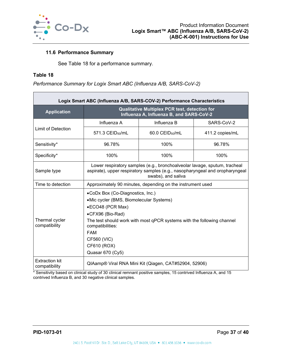

#### **11.6 Performance Summary**

See [Table 18](#page-37-1) for a performance summary.

#### <span id="page-37-1"></span>**Table 18**

*Performance Summary for Logix Smart ABC (Influenza A/B, SARS-CoV-2)*

| Logix Smart ABC (Influenza A/B, SARS-COV-2) Performance Characteristics |                                                                                                                                                                                                                                                                                   |                                                                                           |                 |  |  |
|-------------------------------------------------------------------------|-----------------------------------------------------------------------------------------------------------------------------------------------------------------------------------------------------------------------------------------------------------------------------------|-------------------------------------------------------------------------------------------|-----------------|--|--|
| <b>Application</b>                                                      |                                                                                                                                                                                                                                                                                   | Qualitative Multiplex PCR test, detection for<br>Influenza A, Influenza B, and SARS-CoV-2 |                 |  |  |
|                                                                         | Influenza A                                                                                                                                                                                                                                                                       | Influenza B                                                                               | SARS-CoV-2      |  |  |
| Limit of Detection                                                      | $571.3$ CEID <sub>50</sub> /mL                                                                                                                                                                                                                                                    | 60.0 CEID <sub>50</sub> /mL                                                               | 411.2 copies/mL |  |  |
| Sensitivity*                                                            | 96.78%                                                                                                                                                                                                                                                                            | 100%                                                                                      | 96.78%          |  |  |
| Specificity*                                                            | 100%                                                                                                                                                                                                                                                                              | 100%                                                                                      | 100%            |  |  |
| Sample type                                                             | Lower respiratory samples (e.g., bronchoalveolar lavage, sputum, tracheal<br>aspirate), upper respiratory samples (e.g., nasopharyngeal and oropharyngeal<br>swabs), and saliva                                                                                                   |                                                                                           |                 |  |  |
| Time to detection                                                       | Approximately 90 minutes, depending on the instrument used                                                                                                                                                                                                                        |                                                                                           |                 |  |  |
| Thermal cycler<br>compatibility                                         | •CoDx Box (Co-Diagnostics, Inc.)<br>•Mic cycler (BMS, Biomolecular Systems)<br>•ECO48 (PCR Max)<br>•CFX96 (Bio-Rad)<br>The test should work with most qPCR systems with the following channel<br>compatibilities:<br><b>FAM</b><br>CF560 (VIC)<br>CF610 (ROX)<br>Quasar 670 (Cy5) |                                                                                           |                 |  |  |
| <b>Extraction kit</b><br>compatibility                                  |                                                                                                                                                                                                                                                                                   | QIAamp® Viral RNA Mini Kit (Qiagen, CAT#52904, 52906)                                     |                 |  |  |

<span id="page-37-0"></span>\* Sensitivity based on clinical study of 30 clinical remnant positive samples, 15 contrived Influenza A, and 15 contrived Influenza B, and 30 negative clinical samples.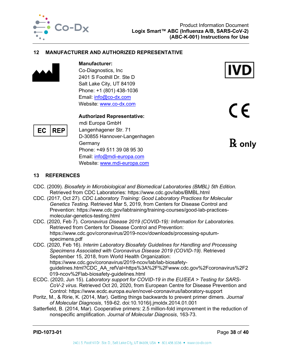

#### **12 MANUFACTURER AND AUTHORIZED REPRESENTATIVE**



EC

## **Manufacturer:**

Co-Diagnostics, Inc 2401 S Foothill Dr. Ste D Salt Lake City, UT 84109 Phone: +1 (801) 438-1036 Email: [info@co-dx.com](mailto:info@co-dx.com) Website: [www.co-dx.com](http://www.co-dx.com/)

#### **Authorized Representative:**

mdi Europa GmbH Langenhagener Str. 71 D-30855 Hannover-Langenhagen **Germany** Phone: +49 511 39 08 95 30 Email: [info@mdi-europa.com](mailto:info@mdi-europa.com) Website: [www.mdi-europa.com](http://www.mdi-europa.com/)



CE

℞ **only**

## <span id="page-38-0"></span>**13 REFERENCES**

**REP** 

- CDC. (2009). *Biosafety in Microbiological and Biomedical Laboratories (BMBL) 5th Edition.* Retrieved from CDC Laboratories: https://www.cdc.gov/labs/BMBL.html
- CDC. (2017, Oct 27). *CDC Laboratory Training: Good Laboratory Practices for Molecular Genetics Testing*. Retrieved Mar 5, 2019, from Centers for Disease Control and Prevention: https://www.cdc.gov/labtraining/training-courses/good-lab-practicesmolecular-genetics-testing.html
- CDC. (2020, Feb 7). *Coronavirus Disease 2019 (COVID-19): Information for Laboratories.* Retrieved from Centers for Disease Control and Prevention: https://www.cdc.gov/coronavirus/2019-ncov/downloads/processing-sputumspecimens.pdf
- CDC. (2020, Feb 16). *Interim Laboratory Biosafety Guidelines for Handling and Processing Specimens Associated with Coronavirus Disease 2019 (COVID-19).* Retrieved September 15, 2018, from World Health Organization: https://www.cdc.gov/coronavirus/2019-ncov/lab/lab-biosafetyguidelines.html?CDC\_AA\_refVal=https%3A%2F%2Fwww.cdc.gov%2Fcoronavirus%2F2 019-ncov%2Flab-biosafety-guidelines.html
- ECDC. (2020, Jun 15). *Laboratory support for COVID-19 in the EU/EEA > Testing for SARS-CoV-2 virus*. Retrieved Oct 20, 2020, from European Centre for Disease Prevention and Control: https://www.ecdc.europa.eu/en/novel-coronavirus/laboratory-support
- Poritz, M., & Ririe, K. (2014, Mar). Getting things backwards to prevent primer dimers. *Journal of Molecular Diagnosis*, 159-62. doi:10.1016/j.jmoldx.2014.01.001
- Satterfield, B. (2014, Mar). Cooperative primers: 2.5 million-fold improvement in the reduction of nonspecific amplification. *Journal of Molecular Diagnosis*, 163-73.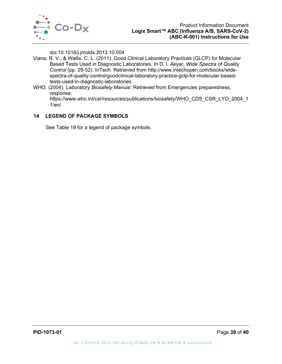

doi:10.1016/j.jmoldx.2013.10.004

- Viana, R. V., & Wallis, C. L. (2011). Good Clinical Laboratory Practices (GLCP) for Molecular Based Tests Used in Diagnostic Laboratories. In D. I. Akyar, *Wide Spectra of Quality Control* (pp. 29-52). InTech. Retrieved from http://www.intechopen.com/books/widespectra-of-quality-control/goodclinical-laboratory-practice-gclp-for-molecular-basedtests-used-in-diagnostic-laboratories
- WHO. (2004). *Laboratory Biosafety Manual.* Retrieved from Emergencies preparedness, response:

https://www.who.int/csr/resources/publications/biosafety/WHO\_CDS\_CSR\_LYO\_2004\_1 1/en/

## <span id="page-39-0"></span>**14 LEGEND OF PACKAGE SYMBOLS**

<span id="page-39-1"></span>See [Table 19](#page-39-1) for a legend of package symbols.